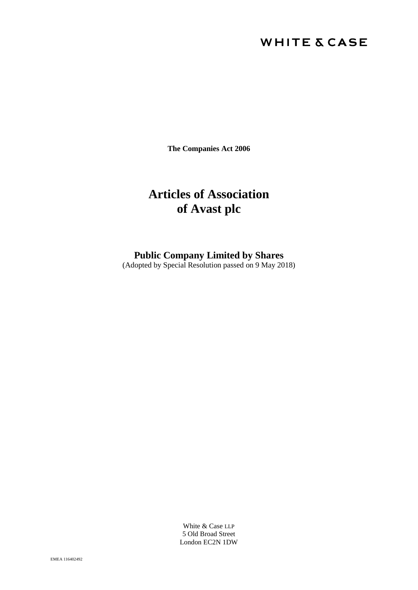# **WHITE & CASE**

**The Companies Act 2006**

# **Articles of Association of Avast plc**

**Public Company Limited by Shares**

(Adopted by Special Resolution passed on 9 May 2018)

White & Case LLP 5 Old Broad Street London EC2N 1DW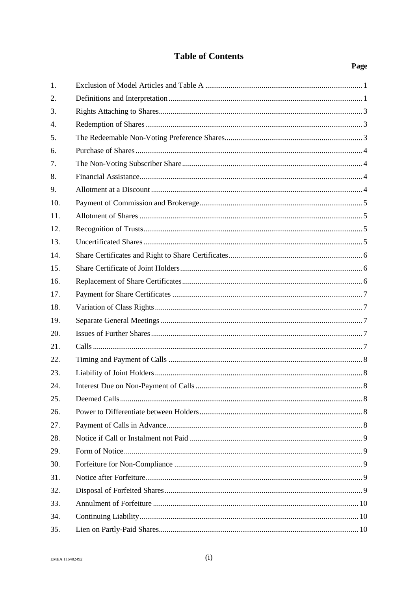# **Table of Contents**

| 1.  |  |
|-----|--|
| 2.  |  |
| 3.  |  |
| 4.  |  |
| 5.  |  |
| 6.  |  |
| 7.  |  |
| 8.  |  |
| 9.  |  |
| 10. |  |
| 11. |  |
| 12. |  |
| 13. |  |
| 14. |  |
| 15. |  |
| 16. |  |
| 17. |  |
| 18. |  |
| 19. |  |
| 20. |  |
| 21. |  |
| 22. |  |
| 23. |  |
| 24. |  |
| 25. |  |
| 26. |  |
| 27. |  |
| 28. |  |
| 29. |  |
| 30. |  |
| 31. |  |
| 32. |  |
| 33. |  |
| 34. |  |
| 35. |  |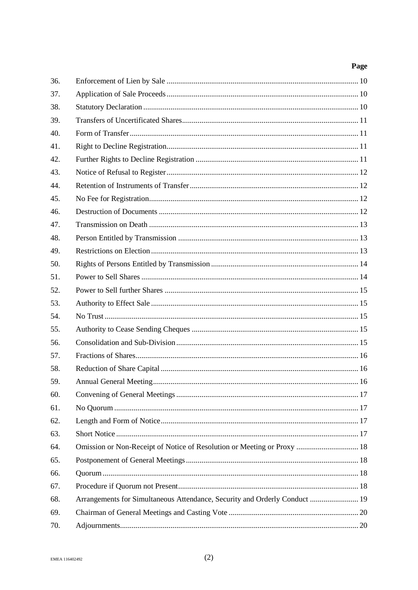| 36. |                                                                            |  |
|-----|----------------------------------------------------------------------------|--|
| 37. |                                                                            |  |
| 38. |                                                                            |  |
| 39. |                                                                            |  |
| 40. |                                                                            |  |
| 41. |                                                                            |  |
| 42. |                                                                            |  |
| 43. |                                                                            |  |
| 44. |                                                                            |  |
| 45. |                                                                            |  |
| 46. |                                                                            |  |
| 47. |                                                                            |  |
| 48. |                                                                            |  |
| 49. |                                                                            |  |
| 50. |                                                                            |  |
| 51. |                                                                            |  |
| 52. |                                                                            |  |
| 53. |                                                                            |  |
| 54. |                                                                            |  |
| 55. |                                                                            |  |
| 56. |                                                                            |  |
| 57. |                                                                            |  |
| 58. |                                                                            |  |
| 59. |                                                                            |  |
| 60. |                                                                            |  |
| 61. |                                                                            |  |
| 62. |                                                                            |  |
| 63. |                                                                            |  |
| 64. | Omission or Non-Receipt of Notice of Resolution or Meeting or Proxy  18    |  |
| 65. |                                                                            |  |
| 66. |                                                                            |  |
| 67. |                                                                            |  |
| 68. | Arrangements for Simultaneous Attendance, Security and Orderly Conduct  19 |  |
| 69. |                                                                            |  |
| 70. |                                                                            |  |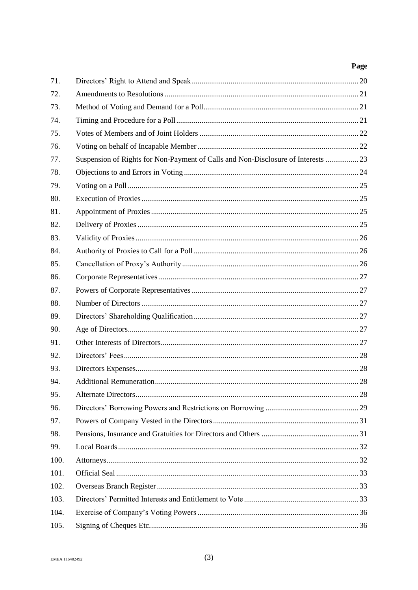| 71.  |                                                                                   |  |
|------|-----------------------------------------------------------------------------------|--|
| 72.  |                                                                                   |  |
| 73.  |                                                                                   |  |
| 74.  |                                                                                   |  |
| 75.  |                                                                                   |  |
| 76.  |                                                                                   |  |
| 77.  | Suspension of Rights for Non-Payment of Calls and Non-Disclosure of Interests  23 |  |
| 78.  |                                                                                   |  |
| 79.  |                                                                                   |  |
| 80.  |                                                                                   |  |
| 81.  |                                                                                   |  |
| 82.  |                                                                                   |  |
| 83.  |                                                                                   |  |
| 84.  |                                                                                   |  |
| 85.  |                                                                                   |  |
| 86.  |                                                                                   |  |
| 87.  |                                                                                   |  |
| 88.  |                                                                                   |  |
| 89.  |                                                                                   |  |
| 90.  |                                                                                   |  |
| 91.  |                                                                                   |  |
| 92.  |                                                                                   |  |
| 93.  |                                                                                   |  |
| 94.  |                                                                                   |  |
| 95.  |                                                                                   |  |
| 96.  |                                                                                   |  |
| 97.  |                                                                                   |  |
| 98.  |                                                                                   |  |
| 99.  |                                                                                   |  |
| 100. |                                                                                   |  |
| 101. |                                                                                   |  |
| 102. |                                                                                   |  |
| 103. |                                                                                   |  |
| 104. |                                                                                   |  |
| 105. |                                                                                   |  |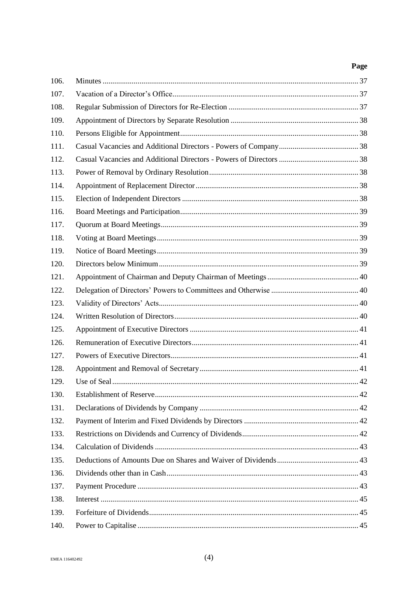| 106. |  |
|------|--|
| 107. |  |
| 108. |  |
| 109. |  |
| 110. |  |
| 111. |  |
| 112. |  |
| 113. |  |
| 114. |  |
| 115. |  |
| 116. |  |
| 117. |  |
| 118. |  |
| 119. |  |
| 120. |  |
| 121. |  |
| 122. |  |
| 123. |  |
| 124. |  |
| 125. |  |
| 126. |  |
| 127. |  |
| 128. |  |
| 129. |  |
| 130. |  |
| 131. |  |
| 132. |  |
| 133. |  |
| 134. |  |
| 135. |  |
| 136. |  |
| 137. |  |
| 138. |  |
| 139. |  |
| 140. |  |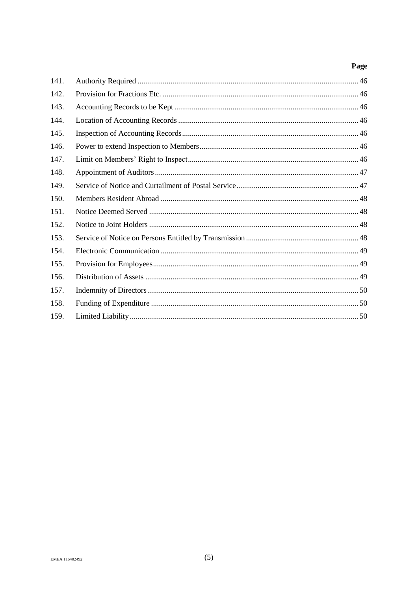| 141. |  |
|------|--|
| 142. |  |
| 143. |  |
| 144. |  |
| 145. |  |
| 146. |  |
| 147. |  |
| 148. |  |
| 149. |  |
| 150. |  |
| 151. |  |
| 152. |  |
| 153. |  |
| 154. |  |
| 155. |  |
| 156. |  |
| 157. |  |
| 158. |  |
| 159. |  |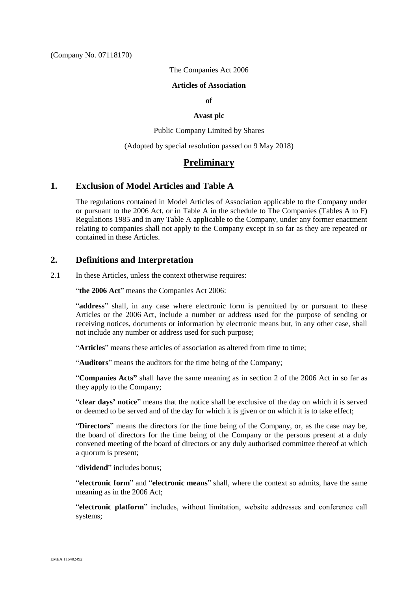#### The Companies Act 2006

#### **Articles of Association**

#### **of**

#### **Avast plc**

Public Company Limited by Shares

(Adopted by special resolution passed on 9 May 2018)

# **Preliminary**

### <span id="page-6-0"></span>**1. Exclusion of Model Articles and Table A**

The regulations contained in Model Articles of Association applicable to the Company under or pursuant to the 2006 Act, or in Table A in the schedule to The Companies (Tables A to F) Regulations 1985 and in any Table A applicable to the Company, under any former enactment relating to companies shall not apply to the Company except in so far as they are repeated or contained in these Articles.

# <span id="page-6-1"></span>**2. Definitions and Interpretation**

2.1 In these Articles, unless the context otherwise requires:

"**the 2006 Act**" means the Companies Act 2006:

"**address**" shall, in any case where electronic form is permitted by or pursuant to these Articles or the 2006 Act, include a number or address used for the purpose of sending or receiving notices, documents or information by electronic means but, in any other case, shall not include any number or address used for such purpose;

"**Articles**" means these articles of association as altered from time to time;

"**Auditors**" means the auditors for the time being of the Company;

"**Companies Acts"** shall have the same meaning as in section 2 of the 2006 Act in so far as they apply to the Company;

"**clear days' notice**" means that the notice shall be exclusive of the day on which it is served or deemed to be served and of the day for which it is given or on which it is to take effect;

"**Directors**" means the directors for the time being of the Company, or, as the case may be, the board of directors for the time being of the Company or the persons present at a duly convened meeting of the board of directors or any duly authorised committee thereof at which a quorum is present;

"**dividend**" includes bonus;

"**electronic form**" and "**electronic means**" shall, where the context so admits, have the same meaning as in the 2006 Act;

"**electronic platform**" includes, without limitation, website addresses and conference call systems;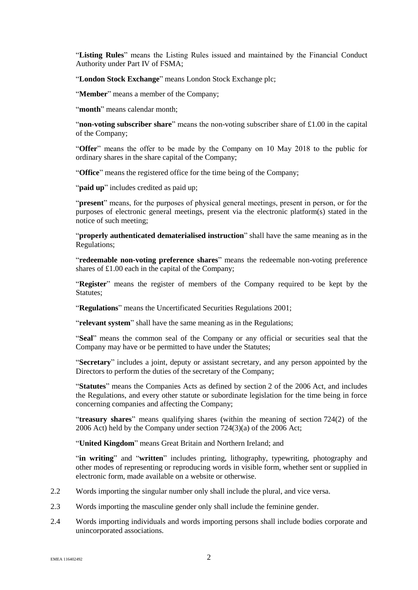"**Listing Rules**" means the Listing Rules issued and maintained by the Financial Conduct Authority under Part IV of FSMA;

"**London Stock Exchange**" means London Stock Exchange plc;

"**Member**" means a member of the Company;

"month" means calendar month;

"**non-voting subscriber share**" means the non-voting subscriber share of £1.00 in the capital of the Company;

"**Offer**" means the offer to be made by the Company on 10 May 2018 to the public for ordinary shares in the share capital of the Company;

"**Office**" means the registered office for the time being of the Company;

"**paid up**" includes credited as paid up;

"**present**" means, for the purposes of physical general meetings, present in person, or for the purposes of electronic general meetings, present via the electronic platform(s) stated in the notice of such meeting;

"**properly authenticated dematerialised instruction**" shall have the same meaning as in the Regulations;

"**redeemable non-voting preference shares**" means the redeemable non-voting preference shares of £1.00 each in the capital of the Company;

"**Register**" means the register of members of the Company required to be kept by the Statutes;

"**Regulations**" means the Uncertificated Securities Regulations 2001;

"**relevant system**" shall have the same meaning as in the Regulations;

"**Seal**" means the common seal of the Company or any official or securities seal that the Company may have or be permitted to have under the Statutes;

"**Secretary**" includes a joint, deputy or assistant secretary, and any person appointed by the Directors to perform the duties of the secretary of the Company;

"**Statutes**" means the Companies Acts as defined by section 2 of the 2006 Act, and includes the Regulations, and every other statute or subordinate legislation for the time being in force concerning companies and affecting the Company;

"**treasury shares**" means qualifying shares (within the meaning of section 724(2) of the 2006 Act) held by the Company under section 724(3)(a) of the 2006 Act;

"**United Kingdom**" means Great Britain and Northern Ireland; and

"**in writing**" and "**written**" includes printing, lithography, typewriting, photography and other modes of representing or reproducing words in visible form, whether sent or supplied in electronic form, made available on a website or otherwise.

- 2.2 Words importing the singular number only shall include the plural, and vice versa.
- 2.3 Words importing the masculine gender only shall include the feminine gender.
- 2.4 Words importing individuals and words importing persons shall include bodies corporate and unincorporated associations.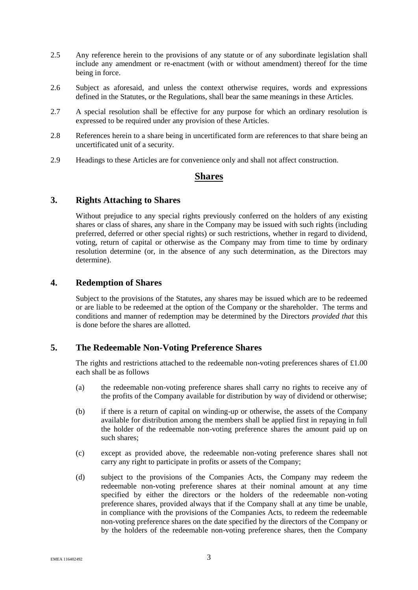- 2.5 Any reference herein to the provisions of any statute or of any subordinate legislation shall include any amendment or re-enactment (with or without amendment) thereof for the time being in force.
- 2.6 Subject as aforesaid, and unless the context otherwise requires, words and expressions defined in the Statutes, or the Regulations, shall bear the same meanings in these Articles.
- 2.7 A special resolution shall be effective for any purpose for which an ordinary resolution is expressed to be required under any provision of these Articles.
- 2.8 References herein to a share being in uncertificated form are references to that share being an uncertificated unit of a security.
- 2.9 Headings to these Articles are for convenience only and shall not affect construction.

# **Shares**

#### <span id="page-8-0"></span>**3. Rights Attaching to Shares**

Without prejudice to any special rights previously conferred on the holders of any existing shares or class of shares, any share in the Company may be issued with such rights (including preferred, deferred or other special rights) or such restrictions, whether in regard to dividend, voting, return of capital or otherwise as the Company may from time to time by ordinary resolution determine (or, in the absence of any such determination, as the Directors may determine).

# <span id="page-8-1"></span>**4. Redemption of Shares**

Subject to the provisions of the Statutes, any shares may be issued which are to be redeemed or are liable to be redeemed at the option of the Company or the shareholder. The terms and conditions and manner of redemption may be determined by the Directors *provided that* this is done before the shares are allotted.

# <span id="page-8-2"></span>**5. The Redeemable Non-Voting Preference Shares**

The rights and restrictions attached to the redeemable non-voting preferences shares of  $\pounds1.00$ each shall be as follows

- (a) the redeemable non-voting preference shares shall carry no rights to receive any of the profits of the Company available for distribution by way of dividend or otherwise;
- (b) if there is a return of capital on winding-up or otherwise, the assets of the Company available for distribution among the members shall be applied first in repaying in full the holder of the redeemable non-voting preference shares the amount paid up on such shares;
- (c) except as provided above, the redeemable non-voting preference shares shall not carry any right to participate in profits or assets of the Company;
- (d) subject to the provisions of the Companies Acts, the Company may redeem the redeemable non-voting preference shares at their nominal amount at any time specified by either the directors or the holders of the redeemable non-voting preference shares, provided always that if the Company shall at any time be unable, in compliance with the provisions of the Companies Acts, to redeem the redeemable non-voting preference shares on the date specified by the directors of the Company or by the holders of the redeemable non-voting preference shares, then the Company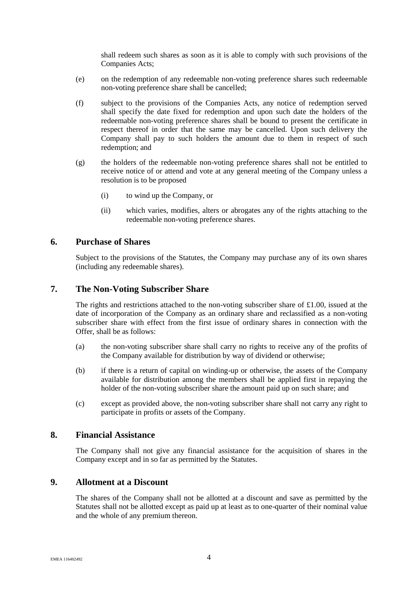shall redeem such shares as soon as it is able to comply with such provisions of the Companies Acts;

- (e) on the redemption of any redeemable non-voting preference shares such redeemable non-voting preference share shall be cancelled;
- (f) subject to the provisions of the Companies Acts, any notice of redemption served shall specify the date fixed for redemption and upon such date the holders of the redeemable non-voting preference shares shall be bound to present the certificate in respect thereof in order that the same may be cancelled. Upon such delivery the Company shall pay to such holders the amount due to them in respect of such redemption; and
- (g) the holders of the redeemable non-voting preference shares shall not be entitled to receive notice of or attend and vote at any general meeting of the Company unless a resolution is to be proposed
	- (i) to wind up the Company, or
	- (ii) which varies, modifies, alters or abrogates any of the rights attaching to the redeemable non-voting preference shares.

# <span id="page-9-0"></span>**6. Purchase of Shares**

Subject to the provisions of the Statutes, the Company may purchase any of its own shares (including any redeemable shares).

## <span id="page-9-1"></span>**7. The Non-Voting Subscriber Share**

The rights and restrictions attached to the non-voting subscriber share of £1.00, issued at the date of incorporation of the Company as an ordinary share and reclassified as a non-voting subscriber share with effect from the first issue of ordinary shares in connection with the Offer, shall be as follows:

- (a) the non-voting subscriber share shall carry no rights to receive any of the profits of the Company available for distribution by way of dividend or otherwise;
- (b) if there is a return of capital on winding-up or otherwise, the assets of the Company available for distribution among the members shall be applied first in repaying the holder of the non-voting subscriber share the amount paid up on such share; and
- (c) except as provided above, the non-voting subscriber share shall not carry any right to participate in profits or assets of the Company.

#### <span id="page-9-2"></span>**8. Financial Assistance**

The Company shall not give any financial assistance for the acquisition of shares in the Company except and in so far as permitted by the Statutes.

#### <span id="page-9-3"></span>**9. Allotment at a Discount**

The shares of the Company shall not be allotted at a discount and save as permitted by the Statutes shall not be allotted except as paid up at least as to one-quarter of their nominal value and the whole of any premium thereon.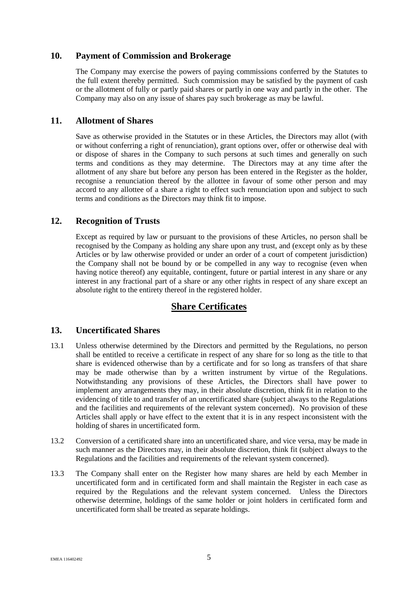# <span id="page-10-0"></span>**10. Payment of Commission and Brokerage**

The Company may exercise the powers of paying commissions conferred by the Statutes to the full extent thereby permitted. Such commission may be satisfied by the payment of cash or the allotment of fully or partly paid shares or partly in one way and partly in the other. The Company may also on any issue of shares pay such brokerage as may be lawful.

# <span id="page-10-1"></span>**11. Allotment of Shares**

Save as otherwise provided in the Statutes or in these Articles, the Directors may allot (with or without conferring a right of renunciation), grant options over, offer or otherwise deal with or dispose of shares in the Company to such persons at such times and generally on such terms and conditions as they may determine. The Directors may at any time after the allotment of any share but before any person has been entered in the Register as the holder, recognise a renunciation thereof by the allottee in favour of some other person and may accord to any allottee of a share a right to effect such renunciation upon and subject to such terms and conditions as the Directors may think fit to impose.

# <span id="page-10-2"></span>**12. Recognition of Trusts**

Except as required by law or pursuant to the provisions of these Articles, no person shall be recognised by the Company as holding any share upon any trust, and (except only as by these Articles or by law otherwise provided or under an order of a court of competent jurisdiction) the Company shall not be bound by or be compelled in any way to recognise (even when having notice thereof) any equitable, contingent, future or partial interest in any share or any interest in any fractional part of a share or any other rights in respect of any share except an absolute right to the entirety thereof in the registered holder.

# **Share Certificates**

# <span id="page-10-3"></span>**13. Uncertificated Shares**

- <span id="page-10-4"></span>13.1 Unless otherwise determined by the Directors and permitted by the Regulations, no person shall be entitled to receive a certificate in respect of any share for so long as the title to that share is evidenced otherwise than by a certificate and for so long as transfers of that share may be made otherwise than by a written instrument by virtue of the Regulations. Notwithstanding any provisions of these Articles, the Directors shall have power to implement any arrangements they may, in their absolute discretion, think fit in relation to the evidencing of title to and transfer of an uncertificated share (subject always to the Regulations and the facilities and requirements of the relevant system concerned). No provision of these Articles shall apply or have effect to the extent that it is in any respect inconsistent with the holding of shares in uncertificated form.
- 13.2 Conversion of a certificated share into an uncertificated share, and vice versa, may be made in such manner as the Directors may, in their absolute discretion, think fit (subject always to the Regulations and the facilities and requirements of the relevant system concerned).
- 13.3 The Company shall enter on the Register how many shares are held by each Member in uncertificated form and in certificated form and shall maintain the Register in each case as required by the Regulations and the relevant system concerned. Unless the Directors otherwise determine, holdings of the same holder or joint holders in certificated form and uncertificated form shall be treated as separate holdings.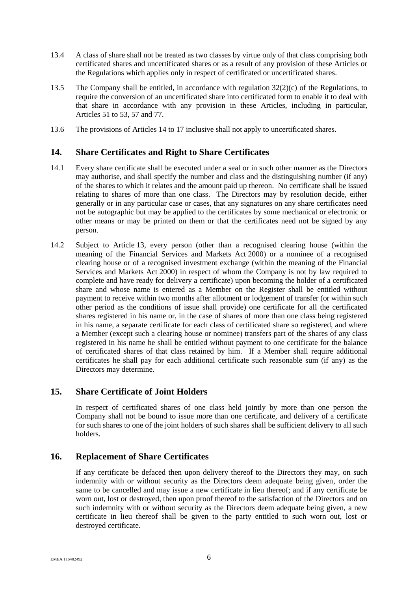- 13.4 A class of share shall not be treated as two classes by virtue only of that class comprising both certificated shares and uncertificated shares or as a result of any provision of these Articles or the Regulations which applies only in respect of certificated or uncertificated shares.
- 13.5 The Company shall be entitled, in accordance with regulation 32(2)(c) of the Regulations, to require the conversion of an uncertificated share into certificated form to enable it to deal with that share in accordance with any provision in these Articles, including in particular, Articles [51](#page-19-1) t[o 53,](#page-20-1) [57](#page-21-0) and [77.](#page-28-0)
- 13.6 The provisions of Articles [14](#page-11-0) to [17](#page-12-0) inclusive shall not apply to uncertificated shares.

# <span id="page-11-0"></span>**14. Share Certificates and Right to Share Certificates**

- 14.1 Every share certificate shall be executed under a seal or in such other manner as the Directors may authorise, and shall specify the number and class and the distinguishing number (if any) of the shares to which it relates and the amount paid up thereon. No certificate shall be issued relating to shares of more than one class. The Directors may by resolution decide, either generally or in any particular case or cases, that any signatures on any share certificates need not be autographic but may be applied to the certificates by some mechanical or electronic or other means or may be printed on them or that the certificates need not be signed by any person.
- 14.2 Subject to Article [13,](#page-10-3) every person (other than a recognised clearing house (within the meaning of the Financial Services and Markets Act 2000) or a nominee of a recognised clearing house or of a recognised investment exchange (within the meaning of the Financial Services and Markets Act 2000) in respect of whom the Company is not by law required to complete and have ready for delivery a certificate) upon becoming the holder of a certificated share and whose name is entered as a Member on the Register shall be entitled without payment to receive within two months after allotment or lodgement of transfer (or within such other period as the conditions of issue shall provide) one certificate for all the certificated shares registered in his name or, in the case of shares of more than one class being registered in his name, a separate certificate for each class of certificated share so registered, and where a Member (except such a clearing house or nominee) transfers part of the shares of any class registered in his name he shall be entitled without payment to one certificate for the balance of certificated shares of that class retained by him. If a Member shall require additional certificates he shall pay for each additional certificate such reasonable sum (if any) as the Directors may determine.

# <span id="page-11-1"></span>**15. Share Certificate of Joint Holders**

In respect of certificated shares of one class held jointly by more than one person the Company shall not be bound to issue more than one certificate, and delivery of a certificate for such shares to one of the joint holders of such shares shall be sufficient delivery to all such holders.

# <span id="page-11-2"></span>**16. Replacement of Share Certificates**

If any certificate be defaced then upon delivery thereof to the Directors they may, on such indemnity with or without security as the Directors deem adequate being given, order the same to be cancelled and may issue a new certificate in lieu thereof; and if any certificate be worn out, lost or destroyed, then upon proof thereof to the satisfaction of the Directors and on such indemnity with or without security as the Directors deem adequate being given, a new certificate in lieu thereof shall be given to the party entitled to such worn out, lost or destroyed certificate.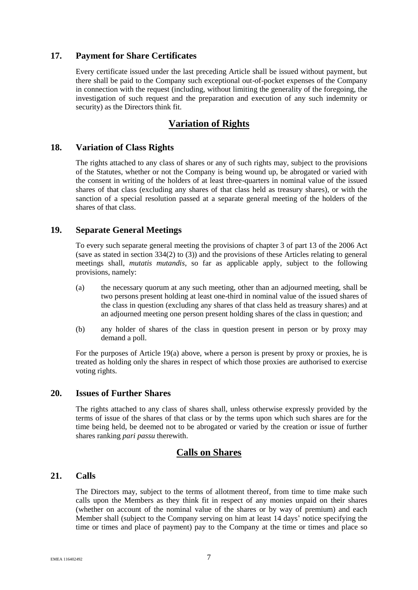# <span id="page-12-0"></span>**17. Payment for Share Certificates**

Every certificate issued under the last preceding Article shall be issued without payment, but there shall be paid to the Company such exceptional out-of-pocket expenses of the Company in connection with the request (including, without limiting the generality of the foregoing, the investigation of such request and the preparation and execution of any such indemnity or security) as the Directors think fit.

# **Variation of Rights**

# <span id="page-12-1"></span>**18. Variation of Class Rights**

The rights attached to any class of shares or any of such rights may, subject to the provisions of the Statutes, whether or not the Company is being wound up, be abrogated or varied with the consent in writing of the holders of at least three-quarters in nominal value of the issued shares of that class (excluding any shares of that class held as treasury shares), or with the sanction of a special resolution passed at a separate general meeting of the holders of the shares of that class.

# <span id="page-12-2"></span>**19. Separate General Meetings**

To every such separate general meeting the provisions of chapter 3 of part 13 of the 2006 Act (save as stated in section 334(2) to (3)) and the provisions of these Articles relating to general meetings shall, *mutatis mutandis*, so far as applicable apply, subject to the following provisions, namely:

- <span id="page-12-5"></span>(a) the necessary quorum at any such meeting, other than an adjourned meeting, shall be two persons present holding at least one-third in nominal value of the issued shares of the class in question (excluding any shares of that class held as treasury shares) and at an adjourned meeting one person present holding shares of the class in question; and
- (b) any holder of shares of the class in question present in person or by proxy may demand a poll.

For the purposes of Article [19\(a\)](#page-12-5) above, where a person is present by proxy or proxies, he is treated as holding only the shares in respect of which those proxies are authorised to exercise voting rights.

# <span id="page-12-3"></span>**20. Issues of Further Shares**

The rights attached to any class of shares shall, unless otherwise expressly provided by the terms of issue of the shares of that class or by the terms upon which such shares are for the time being held, be deemed not to be abrogated or varied by the creation or issue of further shares ranking *pari passu* therewith.

# **Calls on Shares**

# <span id="page-12-4"></span>**21. Calls**

The Directors may, subject to the terms of allotment thereof, from time to time make such calls upon the Members as they think fit in respect of any monies unpaid on their shares (whether on account of the nominal value of the shares or by way of premium) and each Member shall (subject to the Company serving on him at least 14 days' notice specifying the time or times and place of payment) pay to the Company at the time or times and place so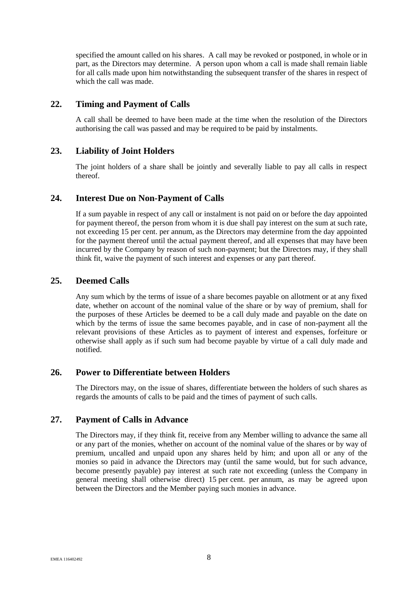specified the amount called on his shares. A call may be revoked or postponed, in whole or in part, as the Directors may determine. A person upon whom a call is made shall remain liable for all calls made upon him notwithstanding the subsequent transfer of the shares in respect of which the call was made.

# <span id="page-13-0"></span>**22. Timing and Payment of Calls**

A call shall be deemed to have been made at the time when the resolution of the Directors authorising the call was passed and may be required to be paid by instalments.

# <span id="page-13-1"></span>**23. Liability of Joint Holders**

The joint holders of a share shall be jointly and severally liable to pay all calls in respect thereof.

# <span id="page-13-2"></span>**24. Interest Due on Non-Payment of Calls**

If a sum payable in respect of any call or instalment is not paid on or before the day appointed for payment thereof, the person from whom it is due shall pay interest on the sum at such rate, not exceeding 15 per cent. per annum, as the Directors may determine from the day appointed for the payment thereof until the actual payment thereof, and all expenses that may have been incurred by the Company by reason of such non-payment; but the Directors may, if they shall think fit, waive the payment of such interest and expenses or any part thereof.

# <span id="page-13-3"></span>**25. Deemed Calls**

Any sum which by the terms of issue of a share becomes payable on allotment or at any fixed date, whether on account of the nominal value of the share or by way of premium, shall for the purposes of these Articles be deemed to be a call duly made and payable on the date on which by the terms of issue the same becomes payable, and in case of non-payment all the relevant provisions of these Articles as to payment of interest and expenses, forfeiture or otherwise shall apply as if such sum had become payable by virtue of a call duly made and notified.

# <span id="page-13-4"></span>**26. Power to Differentiate between Holders**

The Directors may, on the issue of shares, differentiate between the holders of such shares as regards the amounts of calls to be paid and the times of payment of such calls.

# <span id="page-13-5"></span>**27. Payment of Calls in Advance**

The Directors may, if they think fit, receive from any Member willing to advance the same all or any part of the monies, whether on account of the nominal value of the shares or by way of premium, uncalled and unpaid upon any shares held by him; and upon all or any of the monies so paid in advance the Directors may (until the same would, but for such advance, become presently payable) pay interest at such rate not exceeding (unless the Company in general meeting shall otherwise direct) 15 per cent. per annum, as may be agreed upon between the Directors and the Member paying such monies in advance.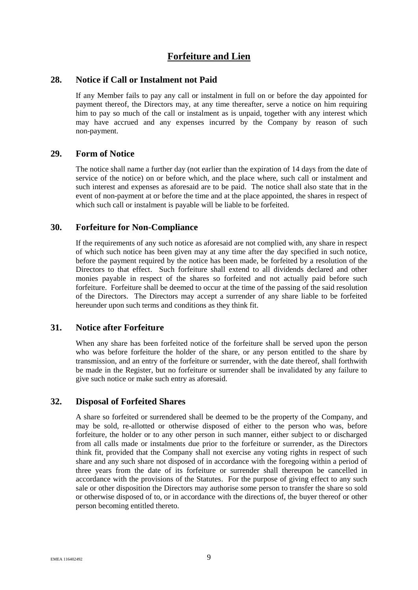# **Forfeiture and Lien**

#### <span id="page-14-0"></span>**28. Notice if Call or Instalment not Paid**

If any Member fails to pay any call or instalment in full on or before the day appointed for payment thereof, the Directors may, at any time thereafter, serve a notice on him requiring him to pay so much of the call or instalment as is unpaid, together with any interest which may have accrued and any expenses incurred by the Company by reason of such non-payment.

# <span id="page-14-1"></span>**29. Form of Notice**

The notice shall name a further day (not earlier than the expiration of 14 days from the date of service of the notice) on or before which, and the place where, such call or instalment and such interest and expenses as aforesaid are to be paid. The notice shall also state that in the event of non-payment at or before the time and at the place appointed, the shares in respect of which such call or instalment is payable will be liable to be forfeited.

# <span id="page-14-2"></span>**30. Forfeiture for Non-Compliance**

If the requirements of any such notice as aforesaid are not complied with, any share in respect of which such notice has been given may at any time after the day specified in such notice, before the payment required by the notice has been made, be forfeited by a resolution of the Directors to that effect. Such forfeiture shall extend to all dividends declared and other monies payable in respect of the shares so forfeited and not actually paid before such forfeiture. Forfeiture shall be deemed to occur at the time of the passing of the said resolution of the Directors. The Directors may accept a surrender of any share liable to be forfeited hereunder upon such terms and conditions as they think fit.

#### <span id="page-14-3"></span>**31. Notice after Forfeiture**

When any share has been forfeited notice of the forfeiture shall be served upon the person who was before forfeiture the holder of the share, or any person entitled to the share by transmission, and an entry of the forfeiture or surrender, with the date thereof, shall forthwith be made in the Register, but no forfeiture or surrender shall be invalidated by any failure to give such notice or make such entry as aforesaid.

# <span id="page-14-4"></span>**32. Disposal of Forfeited Shares**

A share so forfeited or surrendered shall be deemed to be the property of the Company, and may be sold, re-allotted or otherwise disposed of either to the person who was, before forfeiture, the holder or to any other person in such manner, either subject to or discharged from all calls made or instalments due prior to the forfeiture or surrender, as the Directors think fit, provided that the Company shall not exercise any voting rights in respect of such share and any such share not disposed of in accordance with the foregoing within a period of three years from the date of its forfeiture or surrender shall thereupon be cancelled in accordance with the provisions of the Statutes. For the purpose of giving effect to any such sale or other disposition the Directors may authorise some person to transfer the share so sold or otherwise disposed of to, or in accordance with the directions of, the buyer thereof or other person becoming entitled thereto.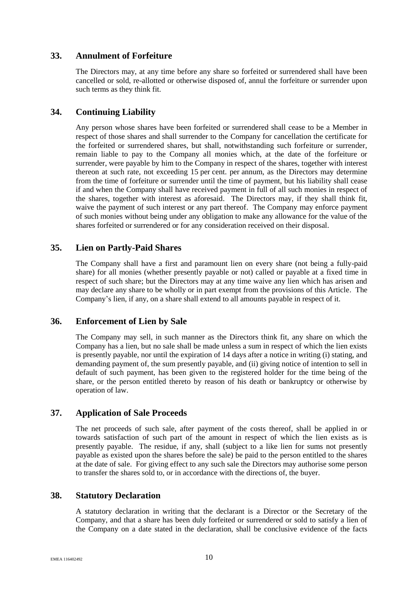# <span id="page-15-0"></span>**33. Annulment of Forfeiture**

The Directors may, at any time before any share so forfeited or surrendered shall have been cancelled or sold, re-allotted or otherwise disposed of, annul the forfeiture or surrender upon such terms as they think fit.

# <span id="page-15-1"></span>**34. Continuing Liability**

Any person whose shares have been forfeited or surrendered shall cease to be a Member in respect of those shares and shall surrender to the Company for cancellation the certificate for the forfeited or surrendered shares, but shall, notwithstanding such forfeiture or surrender, remain liable to pay to the Company all monies which, at the date of the forfeiture or surrender, were payable by him to the Company in respect of the shares, together with interest thereon at such rate, not exceeding 15 per cent. per annum, as the Directors may determine from the time of forfeiture or surrender until the time of payment, but his liability shall cease if and when the Company shall have received payment in full of all such monies in respect of the shares, together with interest as aforesaid. The Directors may, if they shall think fit, waive the payment of such interest or any part thereof. The Company may enforce payment of such monies without being under any obligation to make any allowance for the value of the shares forfeited or surrendered or for any consideration received on their disposal.

# <span id="page-15-2"></span>**35. Lien on Partly-Paid Shares**

The Company shall have a first and paramount lien on every share (not being a fully-paid share) for all monies (whether presently payable or not) called or payable at a fixed time in respect of such share; but the Directors may at any time waive any lien which has arisen and may declare any share to be wholly or in part exempt from the provisions of this Article. The Company's lien, if any, on a share shall extend to all amounts payable in respect of it.

# <span id="page-15-3"></span>**36. Enforcement of Lien by Sale**

The Company may sell, in such manner as the Directors think fit, any share on which the Company has a lien, but no sale shall be made unless a sum in respect of which the lien exists is presently payable, nor until the expiration of 14 days after a notice in writing (i) stating, and demanding payment of, the sum presently payable, and (ii) giving notice of intention to sell in default of such payment, has been given to the registered holder for the time being of the share, or the person entitled thereto by reason of his death or bankruptcy or otherwise by operation of law.

# <span id="page-15-4"></span>**37. Application of Sale Proceeds**

The net proceeds of such sale, after payment of the costs thereof, shall be applied in or towards satisfaction of such part of the amount in respect of which the lien exists as is presently payable. The residue, if any, shall (subject to a like lien for sums not presently payable as existed upon the shares before the sale) be paid to the person entitled to the shares at the date of sale. For giving effect to any such sale the Directors may authorise some person to transfer the shares sold to, or in accordance with the directions of, the buyer.

# <span id="page-15-5"></span>**38. Statutory Declaration**

A statutory declaration in writing that the declarant is a Director or the Secretary of the Company, and that a share has been duly forfeited or surrendered or sold to satisfy a lien of the Company on a date stated in the declaration, shall be conclusive evidence of the facts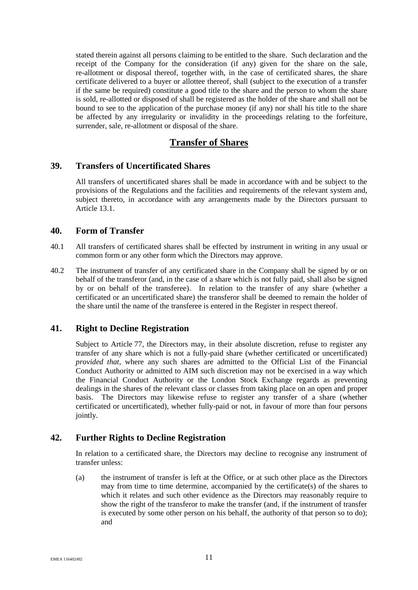stated therein against all persons claiming to be entitled to the share. Such declaration and the receipt of the Company for the consideration (if any) given for the share on the sale, re-allotment or disposal thereof, together with, in the case of certificated shares, the share certificate delivered to a buyer or allottee thereof, shall (subject to the execution of a transfer if the same be required) constitute a good title to the share and the person to whom the share is sold, re-allotted or disposed of shall be registered as the holder of the share and shall not be bound to see to the application of the purchase money (if any) nor shall his title to the share be affected by any irregularity or invalidity in the proceedings relating to the forfeiture, surrender, sale, re-allotment or disposal of the share.

# **Transfer of Shares**

### <span id="page-16-0"></span>**39. Transfers of Uncertificated Shares**

All transfers of uncertificated shares shall be made in accordance with and be subject to the provisions of the Regulations and the facilities and requirements of the relevant system and, subject thereto, in accordance with any arrangements made by the Directors pursuant to Article [13.1.](#page-10-4)

#### <span id="page-16-1"></span>**40. Form of Transfer**

- 40.1 All transfers of certificated shares shall be effected by instrument in writing in any usual or common form or any other form which the Directors may approve.
- 40.2 The instrument of transfer of any certificated share in the Company shall be signed by or on behalf of the transferor (and, in the case of a share which is not fully paid, shall also be signed by or on behalf of the transferee). In relation to the transfer of any share (whether a certificated or an uncertificated share) the transferor shall be deemed to remain the holder of the share until the name of the transferee is entered in the Register in respect thereof.

# <span id="page-16-2"></span>**41. Right to Decline Registration**

Subject to Article [77,](#page-28-0) the Directors may, in their absolute discretion, refuse to register any transfer of any share which is not a fully-paid share (whether certificated or uncertificated) *provided that*, where any such shares are admitted to the Official List of the Financial Conduct Authority or admitted to AIM such discretion may not be exercised in a way which the Financial Conduct Authority or the London Stock Exchange regards as preventing dealings in the shares of the relevant class or classes from taking place on an open and proper basis. The Directors may likewise refuse to register any transfer of a share (whether certificated or uncertificated), whether fully-paid or not, in favour of more than four persons jointly.

# <span id="page-16-3"></span>**42. Further Rights to Decline Registration**

In relation to a certificated share, the Directors may decline to recognise any instrument of transfer unless:

(a) the instrument of transfer is left at the Office, or at such other place as the Directors may from time to time determine, accompanied by the certificate(s) of the shares to which it relates and such other evidence as the Directors may reasonably require to show the right of the transferor to make the transfer (and, if the instrument of transfer is executed by some other person on his behalf, the authority of that person so to do); and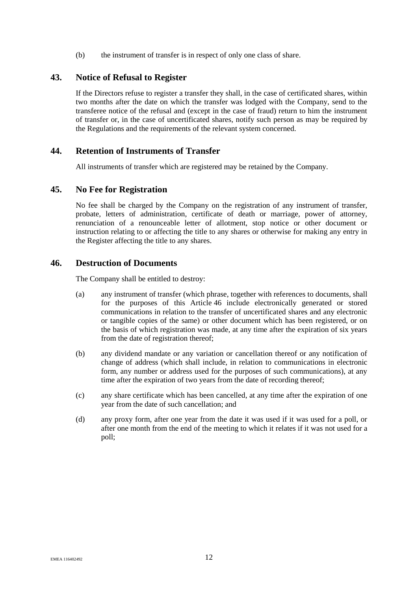(b) the instrument of transfer is in respect of only one class of share.

# <span id="page-17-0"></span>**43. Notice of Refusal to Register**

If the Directors refuse to register a transfer they shall, in the case of certificated shares, within two months after the date on which the transfer was lodged with the Company, send to the transferee notice of the refusal and (except in the case of fraud) return to him the instrument of transfer or, in the case of uncertificated shares, notify such person as may be required by the Regulations and the requirements of the relevant system concerned.

# <span id="page-17-1"></span>**44. Retention of Instruments of Transfer**

All instruments of transfer which are registered may be retained by the Company.

# <span id="page-17-2"></span>**45. No Fee for Registration**

No fee shall be charged by the Company on the registration of any instrument of transfer, probate, letters of administration, certificate of death or marriage, power of attorney, renunciation of a renounceable letter of allotment, stop notice or other document or instruction relating to or affecting the title to any shares or otherwise for making any entry in the Register affecting the title to any shares.

#### <span id="page-17-3"></span>**46. Destruction of Documents**

The Company shall be entitled to destroy:

- (a) any instrument of transfer (which phrase, together with references to documents, shall for the purposes of this Article [46](#page-17-3) include electronically generated or stored communications in relation to the transfer of uncertificated shares and any electronic or tangible copies of the same) or other document which has been registered, or on the basis of which registration was made, at any time after the expiration of six years from the date of registration thereof;
- (b) any dividend mandate or any variation or cancellation thereof or any notification of change of address (which shall include, in relation to communications in electronic form, any number or address used for the purposes of such communications), at any time after the expiration of two years from the date of recording thereof;
- (c) any share certificate which has been cancelled, at any time after the expiration of one year from the date of such cancellation; and
- (d) any proxy form, after one year from the date it was used if it was used for a poll, or after one month from the end of the meeting to which it relates if it was not used for a poll;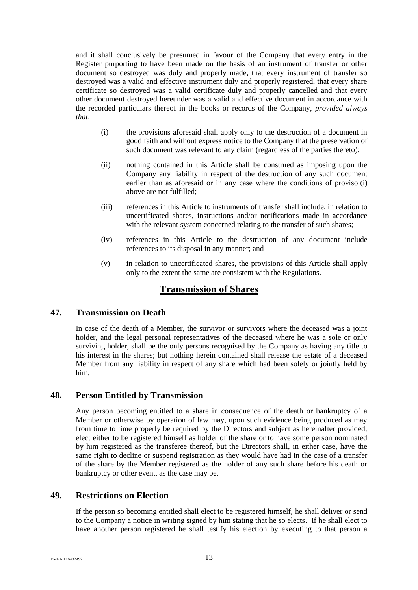and it shall conclusively be presumed in favour of the Company that every entry in the Register purporting to have been made on the basis of an instrument of transfer or other document so destroyed was duly and properly made, that every instrument of transfer so destroyed was a valid and effective instrument duly and properly registered, that every share certificate so destroyed was a valid certificate duly and properly cancelled and that every other document destroyed hereunder was a valid and effective document in accordance with the recorded particulars thereof in the books or records of the Company, *provided always that*:

- <span id="page-18-3"></span>(i) the provisions aforesaid shall apply only to the destruction of a document in good faith and without express notice to the Company that the preservation of such document was relevant to any claim (regardless of the parties thereto);
- (ii) nothing contained in this Article shall be construed as imposing upon the Company any liability in respect of the destruction of any such document earlier than as aforesaid or in any case where the conditions of proviso [\(i\)](#page-18-3) above are not fulfilled;
- (iii) references in this Article to instruments of transfer shall include, in relation to uncertificated shares, instructions and/or notifications made in accordance with the relevant system concerned relating to the transfer of such shares;
- (iv) references in this Article to the destruction of any document include references to its disposal in any manner; and
- (v) in relation to uncertificated shares, the provisions of this Article shall apply only to the extent the same are consistent with the Regulations.

# **Transmission of Shares**

# <span id="page-18-0"></span>**47. Transmission on Death**

In case of the death of a Member, the survivor or survivors where the deceased was a joint holder, and the legal personal representatives of the deceased where he was a sole or only surviving holder, shall be the only persons recognised by the Company as having any title to his interest in the shares; but nothing herein contained shall release the estate of a deceased Member from any liability in respect of any share which had been solely or jointly held by him.

# <span id="page-18-1"></span>**48. Person Entitled by Transmission**

Any person becoming entitled to a share in consequence of the death or bankruptcy of a Member or otherwise by operation of law may, upon such evidence being produced as may from time to time properly be required by the Directors and subject as hereinafter provided, elect either to be registered himself as holder of the share or to have some person nominated by him registered as the transferee thereof, but the Directors shall, in either case, have the same right to decline or suspend registration as they would have had in the case of a transfer of the share by the Member registered as the holder of any such share before his death or bankruptcy or other event, as the case may be.

# <span id="page-18-2"></span>**49. Restrictions on Election**

If the person so becoming entitled shall elect to be registered himself, he shall deliver or send to the Company a notice in writing signed by him stating that he so elects. If he shall elect to have another person registered he shall testify his election by executing to that person a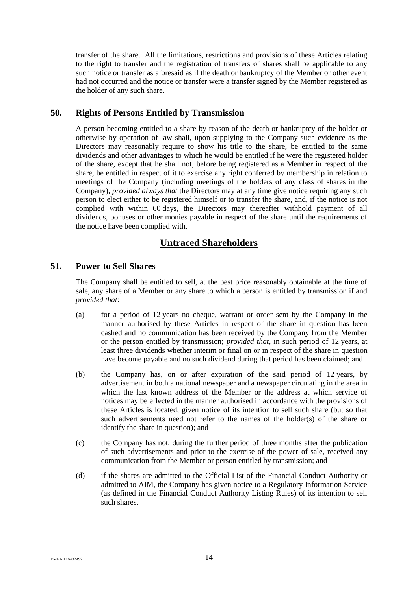transfer of the share. All the limitations, restrictions and provisions of these Articles relating to the right to transfer and the registration of transfers of shares shall be applicable to any such notice or transfer as aforesaid as if the death or bankruptcy of the Member or other event had not occurred and the notice or transfer were a transfer signed by the Member registered as the holder of any such share.

# <span id="page-19-0"></span>**50. Rights of Persons Entitled by Transmission**

A person becoming entitled to a share by reason of the death or bankruptcy of the holder or otherwise by operation of law shall, upon supplying to the Company such evidence as the Directors may reasonably require to show his title to the share, be entitled to the same dividends and other advantages to which he would be entitled if he were the registered holder of the share, except that he shall not, before being registered as a Member in respect of the share, be entitled in respect of it to exercise any right conferred by membership in relation to meetings of the Company (including meetings of the holders of any class of shares in the Company), *provided always that* the Directors may at any time give notice requiring any such person to elect either to be registered himself or to transfer the share, and, if the notice is not complied with within 60 days, the Directors may thereafter withhold payment of all dividends, bonuses or other monies payable in respect of the share until the requirements of the notice have been complied with.

# **Untraced Shareholders**

# <span id="page-19-1"></span>**51. Power to Sell Shares**

The Company shall be entitled to sell, at the best price reasonably obtainable at the time of sale, any share of a Member or any share to which a person is entitled by transmission if and *provided that*:

- <span id="page-19-2"></span>(a) for a period of 12 years no cheque, warrant or order sent by the Company in the manner authorised by these Articles in respect of the share in question has been cashed and no communication has been received by the Company from the Member or the person entitled by transmission; *provided that*, in such period of 12 years, at least three dividends whether interim or final on or in respect of the share in question have become payable and no such dividend during that period has been claimed; and
- (b) the Company has, on or after expiration of the said period of 12 years, by advertisement in both a national newspaper and a newspaper circulating in the area in which the last known address of the Member or the address at which service of notices may be effected in the manner authorised in accordance with the provisions of these Articles is located, given notice of its intention to sell such share (but so that such advertisements need not refer to the names of the holder(s) of the share or identify the share in question); and
- <span id="page-19-3"></span>(c) the Company has not, during the further period of three months after the publication of such advertisements and prior to the exercise of the power of sale, received any communication from the Member or person entitled by transmission; and
- (d) if the shares are admitted to the Official List of the Financial Conduct Authority or admitted to AIM, the Company has given notice to a Regulatory Information Service (as defined in the Financial Conduct Authority Listing Rules) of its intention to sell such shares.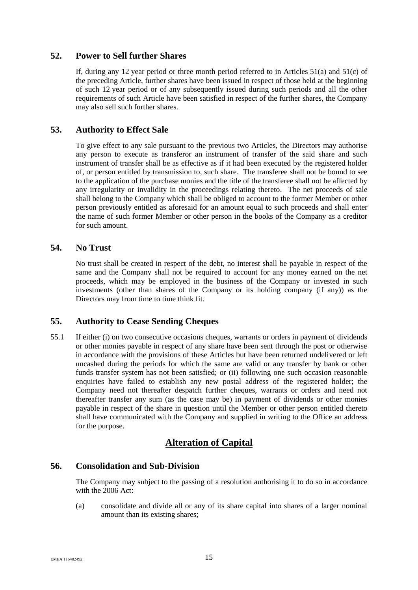# <span id="page-20-0"></span>**52. Power to Sell further Shares**

If, during any 12 year period or three month period referred to in Articles [51\(a\)](#page-19-2) and [51\(c\)](#page-19-3) of the preceding Article, further shares have been issued in respect of those held at the beginning of such 12 year period or of any subsequently issued during such periods and all the other requirements of such Article have been satisfied in respect of the further shares, the Company may also sell such further shares.

# <span id="page-20-1"></span>**53. Authority to Effect Sale**

To give effect to any sale pursuant to the previous two Articles, the Directors may authorise any person to execute as transferor an instrument of transfer of the said share and such instrument of transfer shall be as effective as if it had been executed by the registered holder of, or person entitled by transmission to, such share. The transferee shall not be bound to see to the application of the purchase monies and the title of the transferee shall not be affected by any irregularity or invalidity in the proceedings relating thereto. The net proceeds of sale shall belong to the Company which shall be obliged to account to the former Member or other person previously entitled as aforesaid for an amount equal to such proceeds and shall enter the name of such former Member or other person in the books of the Company as a creditor for such amount.

# <span id="page-20-2"></span>**54. No Trust**

No trust shall be created in respect of the debt, no interest shall be payable in respect of the same and the Company shall not be required to account for any money earned on the net proceeds, which may be employed in the business of the Company or invested in such investments (other than shares of the Company or its holding company (if any)) as the Directors may from time to time think fit.

# <span id="page-20-3"></span>**55. Authority to Cease Sending Cheques**

55.1 If either (i) on two consecutive occasions cheques, warrants or orders in payment of dividends or other monies payable in respect of any share have been sent through the post or otherwise in accordance with the provisions of these Articles but have been returned undelivered or left uncashed during the periods for which the same are valid or any transfer by bank or other funds transfer system has not been satisfied; or (ii) following one such occasion reasonable enquiries have failed to establish any new postal address of the registered holder; the Company need not thereafter despatch further cheques, warrants or orders and need not thereafter transfer any sum (as the case may be) in payment of dividends or other monies payable in respect of the share in question until the Member or other person entitled thereto shall have communicated with the Company and supplied in writing to the Office an address for the purpose.

# **Alteration of Capital**

# <span id="page-20-4"></span>**56. Consolidation and Sub-Division**

The Company may subject to the passing of a resolution authorising it to do so in accordance with the 2006 Act:

(a) consolidate and divide all or any of its share capital into shares of a larger nominal amount than its existing shares;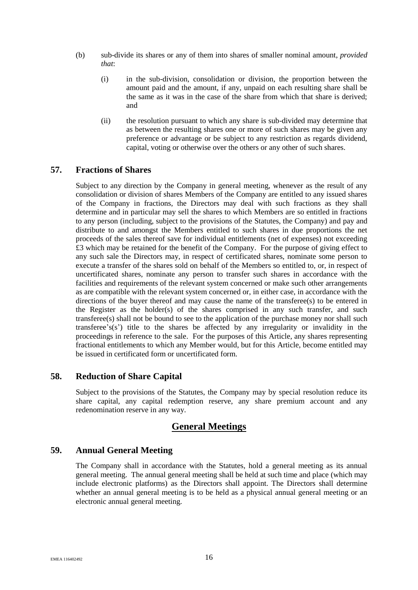- (b) sub-divide its shares or any of them into shares of smaller nominal amount, *provided that*:
	- (i) in the sub-division, consolidation or division, the proportion between the amount paid and the amount, if any, unpaid on each resulting share shall be the same as it was in the case of the share from which that share is derived; and
	- (ii) the resolution pursuant to which any share is sub-divided may determine that as between the resulting shares one or more of such shares may be given any preference or advantage or be subject to any restriction as regards dividend, capital, voting or otherwise over the others or any other of such shares.

# <span id="page-21-0"></span>**57. Fractions of Shares**

Subject to any direction by the Company in general meeting, whenever as the result of any consolidation or division of shares Members of the Company are entitled to any issued shares of the Company in fractions, the Directors may deal with such fractions as they shall determine and in particular may sell the shares to which Members are so entitled in fractions to any person (including, subject to the provisions of the Statutes, the Company) and pay and distribute to and amongst the Members entitled to such shares in due proportions the net proceeds of the sales thereof save for individual entitlements (net of expenses) not exceeding £3 which may be retained for the benefit of the Company. For the purpose of giving effect to any such sale the Directors may, in respect of certificated shares, nominate some person to execute a transfer of the shares sold on behalf of the Members so entitled to, or, in respect of uncertificated shares, nominate any person to transfer such shares in accordance with the facilities and requirements of the relevant system concerned or make such other arrangements as are compatible with the relevant system concerned or, in either case, in accordance with the directions of the buyer thereof and may cause the name of the transferee(s) to be entered in the Register as the holder(s) of the shares comprised in any such transfer, and such transferee(s) shall not be bound to see to the application of the purchase money nor shall such transferee's(s') title to the shares be affected by any irregularity or invalidity in the proceedings in reference to the sale. For the purposes of this Article, any shares representing fractional entitlements to which any Member would, but for this Article, become entitled may be issued in certificated form or uncertificated form.

# <span id="page-21-1"></span>**58. Reduction of Share Capital**

Subject to the provisions of the Statutes, the Company may by special resolution reduce its share capital, any capital redemption reserve, any share premium account and any redenomination reserve in any way.

# **General Meetings**

# <span id="page-21-2"></span>**59. Annual General Meeting**

The Company shall in accordance with the Statutes, hold a general meeting as its annual general meeting. The annual general meeting shall be held at such time and place (which may include electronic platforms) as the Directors shall appoint. The Directors shall determine whether an annual general meeting is to be held as a physical annual general meeting or an electronic annual general meeting.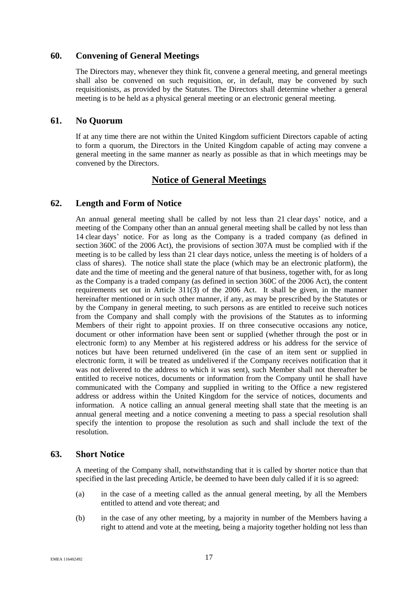# <span id="page-22-0"></span>**60. Convening of General Meetings**

The Directors may, whenever they think fit, convene a general meeting, and general meetings shall also be convened on such requisition, or, in default, may be convened by such requisitionists, as provided by the Statutes. The Directors shall determine whether a general meeting is to be held as a physical general meeting or an electronic general meeting.

# <span id="page-22-1"></span>**61. No Quorum**

If at any time there are not within the United Kingdom sufficient Directors capable of acting to form a quorum, the Directors in the United Kingdom capable of acting may convene a general meeting in the same manner as nearly as possible as that in which meetings may be convened by the Directors.

# **Notice of General Meetings**

# <span id="page-22-2"></span>**62. Length and Form of Notice**

An annual general meeting shall be called by not less than 21 clear days' notice, and a meeting of the Company other than an annual general meeting shall be called by not less than 14 clear days' notice. For as long as the Company is a traded company (as defined in section 360C of the 2006 Act), the provisions of section 307A must be complied with if the meeting is to be called by less than 21 clear days notice, unless the meeting is of holders of a class of shares). The notice shall state the place (which may be an electronic platform), the date and the time of meeting and the general nature of that business, together with, for as long as the Company is a traded company (as defined in section 360C of the 2006 Act), the content requirements set out in Article 311(3) of the 2006 Act. It shall be given, in the manner hereinafter mentioned or in such other manner, if any, as may be prescribed by the Statutes or by the Company in general meeting, to such persons as are entitled to receive such notices from the Company and shall comply with the provisions of the Statutes as to informing Members of their right to appoint proxies. If on three consecutive occasions any notice, document or other information have been sent or supplied (whether through the post or in electronic form) to any Member at his registered address or his address for the service of notices but have been returned undelivered (in the case of an item sent or supplied in electronic form, it will be treated as undelivered if the Company receives notification that it was not delivered to the address to which it was sent), such Member shall not thereafter be entitled to receive notices, documents or information from the Company until he shall have communicated with the Company and supplied in writing to the Office a new registered address or address within the United Kingdom for the service of notices, documents and information. A notice calling an annual general meeting shall state that the meeting is an annual general meeting and a notice convening a meeting to pass a special resolution shall specify the intention to propose the resolution as such and shall include the text of the resolution.

# <span id="page-22-3"></span>**63. Short Notice**

A meeting of the Company shall, notwithstanding that it is called by shorter notice than that specified in the last preceding Article, be deemed to have been duly called if it is so agreed:

- (a) in the case of a meeting called as the annual general meeting, by all the Members entitled to attend and vote thereat; and
- (b) in the case of any other meeting, by a majority in number of the Members having a right to attend and vote at the meeting, being a majority together holding not less than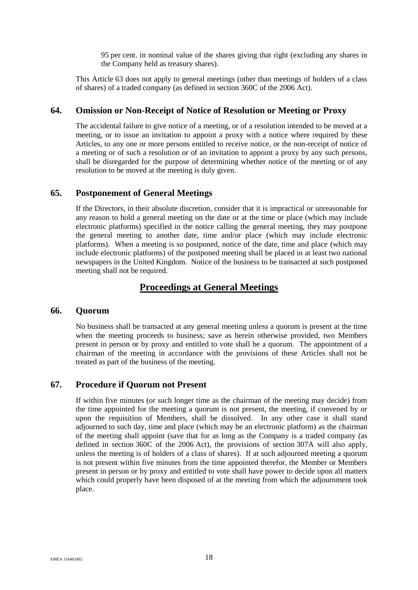95 per cent. in nominal value of the shares giving that right (excluding any shares in the Company held as treasury shares).

This Article [63](#page-22-3) does not apply to general meetings (other than meetings of holders of a class of shares) of a traded company (as defined in section 360C of the 2006 Act).

# <span id="page-23-0"></span>**64. Omission or Non-Receipt of Notice of Resolution or Meeting or Proxy**

The accidental failure to give notice of a meeting, or of a resolution intended to be moved at a meeting, or to issue an invitation to appoint a proxy with a notice where required by these Articles, to any one or more persons entitled to receive notice, or the non-receipt of notice of a meeting or of such a resolution or of an invitation to appoint a proxy by any such persons, shall be disregarded for the purpose of determining whether notice of the meeting or of any resolution to be moved at the meeting is duly given.

# <span id="page-23-1"></span>**65. Postponement of General Meetings**

If the Directors, in their absolute discretion, consider that it is impractical or unreasonable for any reason to hold a general meeting on the date or at the time or place (which may include electronic platforms) specified in the notice calling the general meeting, they may postpone the general meeting to another date, time and/or place (which may include electronic platforms). When a meeting is so postponed, notice of the date, time and place (which may include electronic platforms) of the postponed meeting shall be placed in at least two national newspapers in the United Kingdom. Notice of the business to be transacted at such postponed meeting shall not be required.

# **Proceedings at General Meetings**

#### <span id="page-23-2"></span>**66. Quorum**

No business shall be transacted at any general meeting unless a quorum is present at the time when the meeting proceeds to business; save as herein otherwise provided, two Members present in person or by proxy and entitled to vote shall be a quorum. The appointment of a chairman of the meeting in accordance with the provisions of these Articles shall not be treated as part of the business of the meeting.

# <span id="page-23-3"></span>**67. Procedure if Quorum not Present**

If within five minutes (or such longer time as the chairman of the meeting may decide) from the time appointed for the meeting a quorum is not present, the meeting, if convened by or upon the requisition of Members, shall be dissolved. In any other case it shall stand adjourned to such day, time and place (which may be an electronic platform) as the chairman of the meeting shall appoint (save that for as long as the Company is a traded company (as defined in section 360C of the 2006 Act), the provisions of section 307A will also apply, unless the meeting is of holders of a class of shares). If at such adjourned meeting a quorum is not present within five minutes from the time appointed therefor, the Member or Members present in person or by proxy and entitled to vote shall have power to decide upon all matters which could properly have been disposed of at the meeting from which the adjournment took place.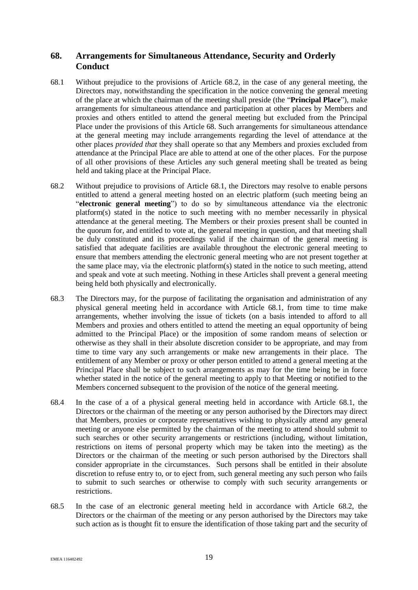# <span id="page-24-0"></span>**68. Arrangements for Simultaneous Attendance, Security and Orderly Conduct**

- <span id="page-24-2"></span>68.1 Without prejudice to the provisions of Article [68.2,](#page-24-1) in the case of any general meeting, the Directors may, notwithstanding the specification in the notice convening the general meeting of the place at which the chairman of the meeting shall preside (the "**Principal Place**"), make arrangements for simultaneous attendance and participation at other places by Members and proxies and others entitled to attend the general meeting but excluded from the Principal Place under the provisions of this Article [68.](#page-24-0) Such arrangements for simultaneous attendance at the general meeting may include arrangements regarding the level of attendance at the other places *provided that* they shall operate so that any Members and proxies excluded from attendance at the Principal Place are able to attend at one of the other places. For the purpose of all other provisions of these Articles any such general meeting shall be treated as being held and taking place at the Principal Place.
- <span id="page-24-1"></span>68.2 Without prejudice to provisions of Article [68.1,](#page-24-2) the Directors may resolve to enable persons entitled to attend a general meeting hosted on an electric platform (such meeting being an "**electronic general meeting**") to do so by simultaneous attendance via the electronic platform(s) stated in the notice to such meeting with no member necessarily in physical attendance at the general meeting. The Members or their proxies present shall be counted in the quorum for, and entitled to vote at, the general meeting in question, and that meeting shall be duly constituted and its proceedings valid if the chairman of the general meeting is satisfied that adequate facilities are available throughout the electronic general meeting to ensure that members attending the electronic general meeting who are not present together at the same place may, via the electronic platform(s) stated in the notice to such meeting, attend and speak and vote at such meeting. Nothing in these Articles shall prevent a general meeting being held both physically and electronically.
- 68.3 The Directors may, for the purpose of facilitating the organisation and administration of any physical general meeting held in accordance with Article [68.1,](#page-24-2) from time to time make arrangements, whether involving the issue of tickets (on a basis intended to afford to all Members and proxies and others entitled to attend the meeting an equal opportunity of being admitted to the Principal Place) or the imposition of some random means of selection or otherwise as they shall in their absolute discretion consider to be appropriate, and may from time to time vary any such arrangements or make new arrangements in their place. The entitlement of any Member or proxy or other person entitled to attend a general meeting at the Principal Place shall be subject to such arrangements as may for the time being be in force whether stated in the notice of the general meeting to apply to that Meeting or notified to the Members concerned subsequent to the provision of the notice of the general meeting.
- 68.4 In the case of a of a physical general meeting held in accordance with Article [68.1,](#page-24-2) the Directors or the chairman of the meeting or any person authorised by the Directors may direct that Members, proxies or corporate representatives wishing to physically attend any general meeting or anyone else permitted by the chairman of the meeting to attend should submit to such searches or other security arrangements or restrictions (including, without limitation, restrictions on items of personal property which may be taken into the meeting) as the Directors or the chairman of the meeting or such person authorised by the Directors shall consider appropriate in the circumstances. Such persons shall be entitled in their absolute discretion to refuse entry to, or to eject from, such general meeting any such person who fails to submit to such searches or otherwise to comply with such security arrangements or restrictions.
- 68.5 In the case of an electronic general meeting held in accordance with Article [68.2,](#page-24-1) the Directors or the chairman of the meeting or any person authorised by the Directors may take such action as is thought fit to ensure the identification of those taking part and the security of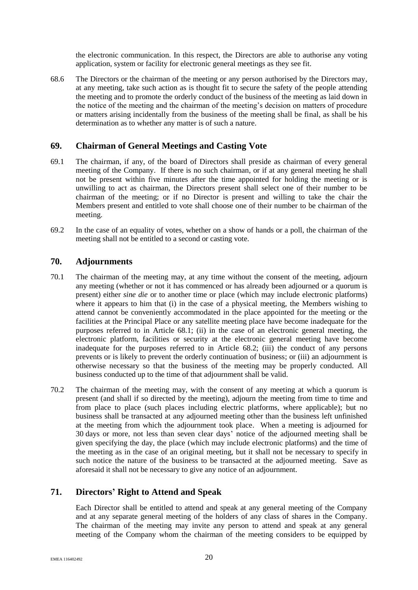the electronic communication. In this respect, the Directors are able to authorise any voting application, system or facility for electronic general meetings as they see fit.

68.6 The Directors or the chairman of the meeting or any person authorised by the Directors may, at any meeting, take such action as is thought fit to secure the safety of the people attending the meeting and to promote the orderly conduct of the business of the meeting as laid down in the notice of the meeting and the chairman of the meeting's decision on matters of procedure or matters arising incidentally from the business of the meeting shall be final, as shall be his determination as to whether any matter is of such a nature.

# <span id="page-25-0"></span>**69. Chairman of General Meetings and Casting Vote**

- 69.1 The chairman, if any, of the board of Directors shall preside as chairman of every general meeting of the Company. If there is no such chairman, or if at any general meeting he shall not be present within five minutes after the time appointed for holding the meeting or is unwilling to act as chairman, the Directors present shall select one of their number to be chairman of the meeting; or if no Director is present and willing to take the chair the Members present and entitled to vote shall choose one of their number to be chairman of the meeting.
- 69.2 In the case of an equality of votes, whether on a show of hands or a poll, the chairman of the meeting shall not be entitled to a second or casting vote.

# <span id="page-25-1"></span>**70. Adjournments**

- 70.1 The chairman of the meeting may, at any time without the consent of the meeting, adjourn any meeting (whether or not it has commenced or has already been adjourned or a quorum is present) either *sine die* or to another time or place (which may include electronic platforms) where it appears to him that (i) in the case of a physical meeting, the Members wishing to attend cannot be conveniently accommodated in the place appointed for the meeting or the facilities at the Principal Place or any satellite meeting place have become inadequate for the purposes referred to in Article [68.1;](#page-24-2) (ii) in the case of an electronic general meeting, the electronic platform, facilities or security at the electronic general meeting have become inadequate for the purposes referred to in Article [68.2;](#page-24-1) (iii) the conduct of any persons prevents or is likely to prevent the orderly continuation of business; or (iii) an adjournment is otherwise necessary so that the business of the meeting may be properly conducted. All business conducted up to the time of that adjournment shall be valid.
- 70.2 The chairman of the meeting may, with the consent of any meeting at which a quorum is present (and shall if so directed by the meeting), adjourn the meeting from time to time and from place to place (such places including electric platforms, where applicable); but no business shall be transacted at any adjourned meeting other than the business left unfinished at the meeting from which the adjournment took place. When a meeting is adjourned for 30 days or more, not less than seven clear days' notice of the adjourned meeting shall be given specifying the day, the place (which may include electronic platforms) and the time of the meeting as in the case of an original meeting, but it shall not be necessary to specify in such notice the nature of the business to be transacted at the adjourned meeting. Save as aforesaid it shall not be necessary to give any notice of an adjournment.

# <span id="page-25-2"></span>**71. Directors' Right to Attend and Speak**

Each Director shall be entitled to attend and speak at any general meeting of the Company and at any separate general meeting of the holders of any class of shares in the Company. The chairman of the meeting may invite any person to attend and speak at any general meeting of the Company whom the chairman of the meeting considers to be equipped by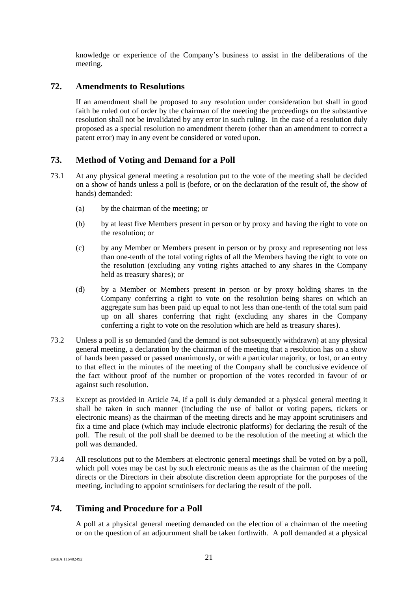knowledge or experience of the Company's business to assist in the deliberations of the meeting.

# <span id="page-26-0"></span>**72. Amendments to Resolutions**

If an amendment shall be proposed to any resolution under consideration but shall in good faith be ruled out of order by the chairman of the meeting the proceedings on the substantive resolution shall not be invalidated by any error in such ruling. In the case of a resolution duly proposed as a special resolution no amendment thereto (other than an amendment to correct a patent error) may in any event be considered or voted upon.

# <span id="page-26-1"></span>**73. Method of Voting and Demand for a Poll**

- 73.1 At any physical general meeting a resolution put to the vote of the meeting shall be decided on a show of hands unless a poll is (before, or on the declaration of the result of, the show of hands) demanded:
	- (a) by the chairman of the meeting; or
	- (b) by at least five Members present in person or by proxy and having the right to vote on the resolution; or
	- (c) by any Member or Members present in person or by proxy and representing not less than one-tenth of the total voting rights of all the Members having the right to vote on the resolution (excluding any voting rights attached to any shares in the Company held as treasury shares); or
	- (d) by a Member or Members present in person or by proxy holding shares in the Company conferring a right to vote on the resolution being shares on which an aggregate sum has been paid up equal to not less than one-tenth of the total sum paid up on all shares conferring that right (excluding any shares in the Company conferring a right to vote on the resolution which are held as treasury shares).
- 73.2 Unless a poll is so demanded (and the demand is not subsequently withdrawn) at any physical general meeting, a declaration by the chairman of the meeting that a resolution has on a show of hands been passed or passed unanimously, or with a particular majority, or lost, or an entry to that effect in the minutes of the meeting of the Company shall be conclusive evidence of the fact without proof of the number or proportion of the votes recorded in favour of or against such resolution.
- 73.3 Except as provided in Article [74,](#page-26-2) if a poll is duly demanded at a physical general meeting it shall be taken in such manner (including the use of ballot or voting papers, tickets or electronic means) as the chairman of the meeting directs and he may appoint scrutinisers and fix a time and place (which may include electronic platforms) for declaring the result of the poll. The result of the poll shall be deemed to be the resolution of the meeting at which the poll was demanded.
- 73.4 All resolutions put to the Members at electronic general meetings shall be voted on by a poll, which poll votes may be cast by such electronic means as the as the chairman of the meeting directs or the Directors in their absolute discretion deem appropriate for the purposes of the meeting, including to appoint scrutinisers for declaring the result of the poll.

# <span id="page-26-2"></span>**74. Timing and Procedure for a Poll**

A poll at a physical general meeting demanded on the election of a chairman of the meeting or on the question of an adjournment shall be taken forthwith. A poll demanded at a physical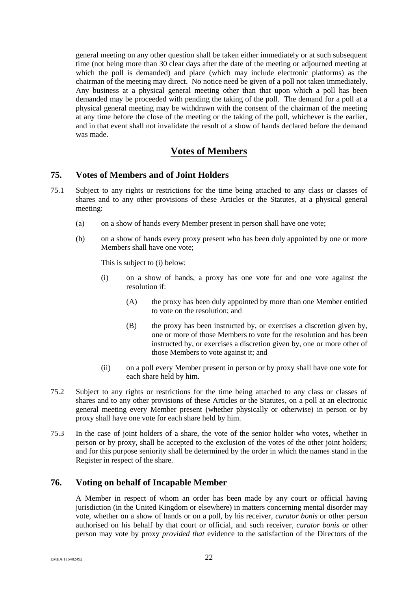general meeting on any other question shall be taken either immediately or at such subsequent time (not being more than 30 clear days after the date of the meeting or adjourned meeting at which the poll is demanded) and place (which may include electronic platforms) as the chairman of the meeting may direct. No notice need be given of a poll not taken immediately. Any business at a physical general meeting other than that upon which a poll has been demanded may be proceeded with pending the taking of the poll. The demand for a poll at a physical general meeting may be withdrawn with the consent of the chairman of the meeting at any time before the close of the meeting or the taking of the poll, whichever is the earlier, and in that event shall not invalidate the result of a show of hands declared before the demand was made.

# **Votes of Members**

# <span id="page-27-0"></span>**75. Votes of Members and of Joint Holders**

- 75.1 Subject to any rights or restrictions for the time being attached to any class or classes of shares and to any other provisions of these Articles or the Statutes, at a physical general meeting:
	- (a) on a show of hands every Member present in person shall have one vote;
	- (b) on a show of hands every proxy present who has been duly appointed by one or more Members shall have one vote;

This is subject to (i) below:

- (i) on a show of hands, a proxy has one vote for and one vote against the resolution if:
	- (A) the proxy has been duly appointed by more than one Member entitled to vote on the resolution; and
	- (B) the proxy has been instructed by, or exercises a discretion given by, one or more of those Members to vote for the resolution and has been instructed by, or exercises a discretion given by, one or more other of those Members to vote against it; and
- (ii) on a poll every Member present in person or by proxy shall have one vote for each share held by him.
- 75.2 Subject to any rights or restrictions for the time being attached to any class or classes of shares and to any other provisions of these Articles or the Statutes, on a poll at an electronic general meeting every Member present (whether physically or otherwise) in person or by proxy shall have one vote for each share held by him.
- 75.3 In the case of joint holders of a share, the vote of the senior holder who votes, whether in person or by proxy, shall be accepted to the exclusion of the votes of the other joint holders; and for this purpose seniority shall be determined by the order in which the names stand in the Register in respect of the share.

# <span id="page-27-1"></span>**76. Voting on behalf of Incapable Member**

A Member in respect of whom an order has been made by any court or official having jurisdiction (in the United Kingdom or elsewhere) in matters concerning mental disorder may vote, whether on a show of hands or on a poll, by his receiver, *curator bonis* or other person authorised on his behalf by that court or official, and such receiver*, curator bonis* or other person may vote by proxy *provided that* evidence to the satisfaction of the Directors of the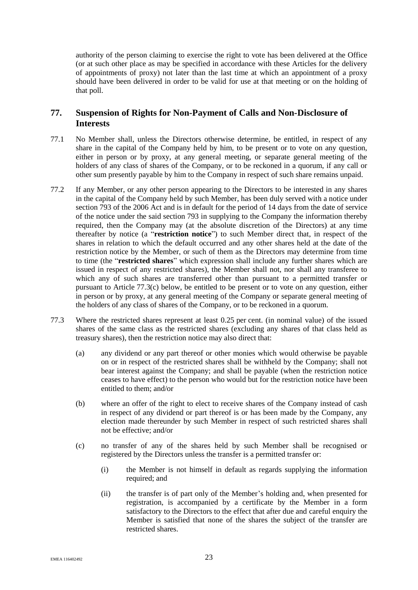authority of the person claiming to exercise the right to vote has been delivered at the Office (or at such other place as may be specified in accordance with these Articles for the delivery of appointments of proxy) not later than the last time at which an appointment of a proxy should have been delivered in order to be valid for use at that meeting or on the holding of that poll.

# <span id="page-28-0"></span>**77. Suspension of Rights for Non-Payment of Calls and Non-Disclosure of Interests**

- 77.1 No Member shall, unless the Directors otherwise determine, be entitled, in respect of any share in the capital of the Company held by him, to be present or to vote on any question, either in person or by proxy, at any general meeting, or separate general meeting of the holders of any class of shares of the Company, or to be reckoned in a quorum, if any call or other sum presently payable by him to the Company in respect of such share remains unpaid.
- 77.2 If any Member, or any other person appearing to the Directors to be interested in any shares in the capital of the Company held by such Member, has been duly served with a notice under section 793 of the 2006 Act and is in default for the period of 14 days from the date of service of the notice under the said section 793 in supplying to the Company the information thereby required, then the Company may (at the absolute discretion of the Directors) at any time thereafter by notice (a "**restriction notice**") to such Member direct that, in respect of the shares in relation to which the default occurred and any other shares held at the date of the restriction notice by the Member, or such of them as the Directors may determine from time to time (the "**restricted shares**" which expression shall include any further shares which are issued in respect of any restricted shares), the Member shall not, nor shall any transferee to which any of such shares are transferred other than pursuant to a permitted transfer or pursuant to Article [77.3\(c\)](#page-28-1) below, be entitled to be present or to vote on any question, either in person or by proxy, at any general meeting of the Company or separate general meeting of the holders of any class of shares of the Company, or to be reckoned in a quorum.
- <span id="page-28-1"></span>77.3 Where the restricted shares represent at least 0.25 per cent. (in nominal value) of the issued shares of the same class as the restricted shares (excluding any shares of that class held as treasury shares), then the restriction notice may also direct that:
	- (a) any dividend or any part thereof or other monies which would otherwise be payable on or in respect of the restricted shares shall be withheld by the Company; shall not bear interest against the Company; and shall be payable (when the restriction notice ceases to have effect) to the person who would but for the restriction notice have been entitled to them; and/or
	- (b) where an offer of the right to elect to receive shares of the Company instead of cash in respect of any dividend or part thereof is or has been made by the Company, any election made thereunder by such Member in respect of such restricted shares shall not be effective; and/or
	- (c) no transfer of any of the shares held by such Member shall be recognised or registered by the Directors unless the transfer is a permitted transfer or:
		- (i) the Member is not himself in default as regards supplying the information required; and
		- (ii) the transfer is of part only of the Member's holding and, when presented for registration, is accompanied by a certificate by the Member in a form satisfactory to the Directors to the effect that after due and careful enquiry the Member is satisfied that none of the shares the subject of the transfer are restricted shares.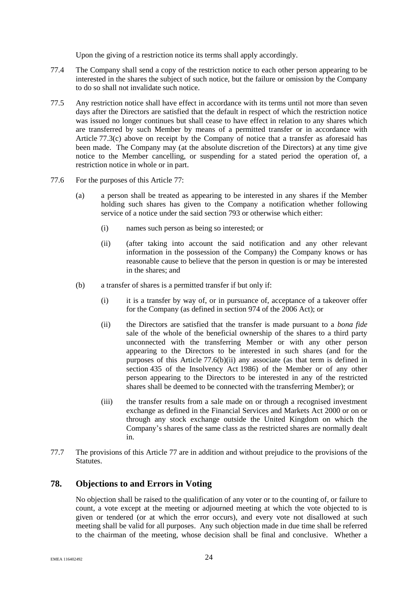Upon the giving of a restriction notice its terms shall apply accordingly.

- 77.4 The Company shall send a copy of the restriction notice to each other person appearing to be interested in the shares the subject of such notice, but the failure or omission by the Company to do so shall not invalidate such notice.
- 77.5 Any restriction notice shall have effect in accordance with its terms until not more than seven days after the Directors are satisfied that the default in respect of which the restriction notice was issued no longer continues but shall cease to have effect in relation to any shares which are transferred by such Member by means of a permitted transfer or in accordance with Article [77.3\(c\)](#page-28-1) above on receipt by the Company of notice that a transfer as aforesaid has been made. The Company may (at the absolute discretion of the Directors) at any time give notice to the Member cancelling, or suspending for a stated period the operation of, a restriction notice in whole or in part.
- 77.6 For the purposes of this Article [77:](#page-28-0)
	- (a) a person shall be treated as appearing to be interested in any shares if the Member holding such shares has given to the Company a notification whether following service of a notice under the said section 793 or otherwise which either:
		- (i) names such person as being so interested; or
		- (ii) (after taking into account the said notification and any other relevant information in the possession of the Company) the Company knows or has reasonable cause to believe that the person in question is or may be interested in the shares; and
	- (b) a transfer of shares is a permitted transfer if but only if:
		- (i) it is a transfer by way of, or in pursuance of, acceptance of a takeover offer for the Company (as defined in section 974 of the 2006 Act); or
		- (ii) the Directors are satisfied that the transfer is made pursuant to a *bona fide* sale of the whole of the beneficial ownership of the shares to a third party unconnected with the transferring Member or with any other person appearing to the Directors to be interested in such shares (and for the purposes of this Article [77.6\(b\)\(ii\)](#page-29-1) any associate (as that term is defined in section 435 of the Insolvency Act 1986) of the Member or of any other person appearing to the Directors to be interested in any of the restricted shares shall be deemed to be connected with the transferring Member); or
		- (iii) the transfer results from a sale made on or through a recognised investment exchange as defined in the Financial Services and Markets Act 2000 or on or through any stock exchange outside the United Kingdom on which the Company's shares of the same class as the restricted shares are normally dealt in.
- <span id="page-29-1"></span>77.7 The provisions of this Article [77](#page-28-0) are in addition and without prejudice to the provisions of the Statutes.

# <span id="page-29-0"></span>**78. Objections to and Errors in Voting**

No objection shall be raised to the qualification of any voter or to the counting of, or failure to count, a vote except at the meeting or adjourned meeting at which the vote objected to is given or tendered (or at which the error occurs), and every vote not disallowed at such meeting shall be valid for all purposes. Any such objection made in due time shall be referred to the chairman of the meeting, whose decision shall be final and conclusive. Whether a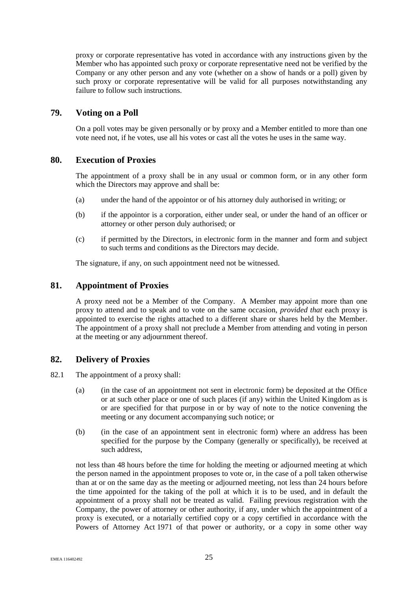proxy or corporate representative has voted in accordance with any instructions given by the Member who has appointed such proxy or corporate representative need not be verified by the Company or any other person and any vote (whether on a show of hands or a poll) given by such proxy or corporate representative will be valid for all purposes notwithstanding any failure to follow such instructions.

# <span id="page-30-0"></span>**79. Voting on a Poll**

On a poll votes may be given personally or by proxy and a Member entitled to more than one vote need not, if he votes, use all his votes or cast all the votes he uses in the same way.

# <span id="page-30-1"></span>**80. Execution of Proxies**

The appointment of a proxy shall be in any usual or common form, or in any other form which the Directors may approve and shall be:

- (a) under the hand of the appointor or of his attorney duly authorised in writing; or
- (b) if the appointor is a corporation, either under seal, or under the hand of an officer or attorney or other person duly authorised; or
- (c) if permitted by the Directors, in electronic form in the manner and form and subject to such terms and conditions as the Directors may decide.

The signature, if any, on such appointment need not be witnessed.

# <span id="page-30-2"></span>**81. Appointment of Proxies**

A proxy need not be a Member of the Company. A Member may appoint more than one proxy to attend and to speak and to vote on the same occasion, *provided that* each proxy is appointed to exercise the rights attached to a different share or shares held by the Member. The appointment of a proxy shall not preclude a Member from attending and voting in person at the meeting or any adjournment thereof.

# <span id="page-30-3"></span>**82. Delivery of Proxies**

- <span id="page-30-6"></span><span id="page-30-4"></span>82.1 The appointment of a proxy shall:
	- (a) (in the case of an appointment not sent in electronic form) be deposited at the Office or at such other place or one of such places (if any) within the United Kingdom as is or are specified for that purpose in or by way of note to the notice convening the meeting or any document accompanying such notice; or
	- (b) (in the case of an appointment sent in electronic form) where an address has been specified for the purpose by the Company (generally or specifically), be received at such address,

<span id="page-30-5"></span>not less than 48 hours before the time for holding the meeting or adjourned meeting at which the person named in the appointment proposes to vote or, in the case of a poll taken otherwise than at or on the same day as the meeting or adjourned meeting, not less than 24 hours before the time appointed for the taking of the poll at which it is to be used, and in default the appointment of a proxy shall not be treated as valid. Failing previous registration with the Company, the power of attorney or other authority, if any, under which the appointment of a proxy is executed, or a notarially certified copy or a copy certified in accordance with the Powers of Attorney Act 1971 of that power or authority, or a copy in some other way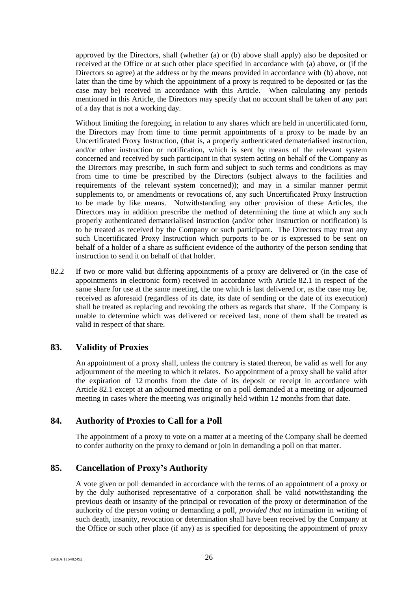approved by the Directors, shall (whether [\(a\)](#page-30-4) or [\(b\)](#page-30-5) above shall apply) also be deposited or received at the Office or at such other place specified in accordance with [\(a\)](#page-30-4) above, or (if the Directors so agree) at the address or by the means provided in accordance with [\(b\)](#page-30-5) above, not later than the time by which the appointment of a proxy is required to be deposited or (as the case may be) received in accordance with this Article. When calculating any periods mentioned in this Article, the Directors may specify that no account shall be taken of any part of a day that is not a working day.

Without limiting the foregoing, in relation to any shares which are held in uncertificated form, the Directors may from time to time permit appointments of a proxy to be made by an Uncertificated Proxy Instruction, (that is, a properly authenticated dematerialised instruction, and/or other instruction or notification, which is sent by means of the relevant system concerned and received by such participant in that system acting on behalf of the Company as the Directors may prescribe, in such form and subject to such terms and conditions as may from time to time be prescribed by the Directors (subject always to the facilities and requirements of the relevant system concerned)); and may in a similar manner permit supplements to, or amendments or revocations of, any such Uncertificated Proxy Instruction to be made by like means. Notwithstanding any other provision of these Articles, the Directors may in addition prescribe the method of determining the time at which any such properly authenticated dematerialised instruction (and/or other instruction or notification) is to be treated as received by the Company or such participant. The Directors may treat any such Uncertificated Proxy Instruction which purports to be or is expressed to be sent on behalf of a holder of a share as sufficient evidence of the authority of the person sending that instruction to send it on behalf of that holder.

82.2 If two or more valid but differing appointments of a proxy are delivered or (in the case of appointments in electronic form) received in accordance with Article [82.1](#page-30-6) in respect of the same share for use at the same meeting, the one which is last delivered or, as the case may be, received as aforesaid (regardless of its date, its date of sending or the date of its execution) shall be treated as replacing and revoking the others as regards that share. If the Company is unable to determine which was delivered or received last, none of them shall be treated as valid in respect of that share.

# <span id="page-31-0"></span>**83. Validity of Proxies**

An appointment of a proxy shall, unless the contrary is stated thereon, be valid as well for any adjournment of the meeting to which it relates. No appointment of a proxy shall be valid after the expiration of 12 months from the date of its deposit or receipt in accordance with Article [82.1](#page-30-6) except at an adjourned meeting or on a poll demanded at a meeting or adjourned meeting in cases where the meeting was originally held within 12 months from that date.

# <span id="page-31-1"></span>**84. Authority of Proxies to Call for a Poll**

The appointment of a proxy to vote on a matter at a meeting of the Company shall be deemed to confer authority on the proxy to demand or join in demanding a poll on that matter.

# <span id="page-31-2"></span>**85. Cancellation of Proxy's Authority**

A vote given or poll demanded in accordance with the terms of an appointment of a proxy or by the duly authorised representative of a corporation shall be valid notwithstanding the previous death or insanity of the principal or revocation of the proxy or determination of the authority of the person voting or demanding a poll, *provided that* no intimation in writing of such death, insanity, revocation or determination shall have been received by the Company at the Office or such other place (if any) as is specified for depositing the appointment of proxy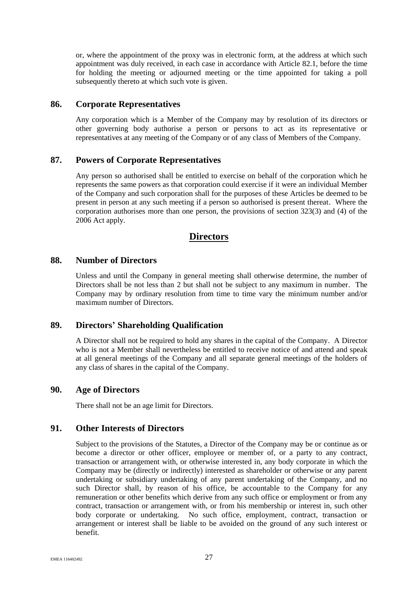or, where the appointment of the proxy was in electronic form, at the address at which such appointment was duly received, in each case in accordance with Article [82.1,](#page-30-6) before the time for holding the meeting or adjourned meeting or the time appointed for taking a poll subsequently thereto at which such vote is given.

### <span id="page-32-0"></span>**86. Corporate Representatives**

Any corporation which is a Member of the Company may by resolution of its directors or other governing body authorise a person or persons to act as its representative or representatives at any meeting of the Company or of any class of Members of the Company.

#### <span id="page-32-1"></span>**87. Powers of Corporate Representatives**

Any person so authorised shall be entitled to exercise on behalf of the corporation which he represents the same powers as that corporation could exercise if it were an individual Member of the Company and such corporation shall for the purposes of these Articles be deemed to be present in person at any such meeting if a person so authorised is present thereat. Where the corporation authorises more than one person, the provisions of section 323(3) and (4) of the 2006 Act apply.

# **Directors**

#### <span id="page-32-2"></span>**88. Number of Directors**

Unless and until the Company in general meeting shall otherwise determine, the number of Directors shall be not less than 2 but shall not be subject to any maximum in number. The Company may by ordinary resolution from time to time vary the minimum number and/or maximum number of Directors.

# <span id="page-32-3"></span>**89. Directors' Shareholding Qualification**

A Director shall not be required to hold any shares in the capital of the Company. A Director who is not a Member shall nevertheless be entitled to receive notice of and attend and speak at all general meetings of the Company and all separate general meetings of the holders of any class of shares in the capital of the Company.

# <span id="page-32-4"></span>**90. Age of Directors**

There shall not be an age limit for Directors.

# <span id="page-32-5"></span>**91. Other Interests of Directors**

Subject to the provisions of the Statutes, a Director of the Company may be or continue as or become a director or other officer, employee or member of, or a party to any contract, transaction or arrangement with, or otherwise interested in, any body corporate in which the Company may be (directly or indirectly) interested as shareholder or otherwise or any parent undertaking or subsidiary undertaking of any parent undertaking of the Company, and no such Director shall, by reason of his office, be accountable to the Company for any remuneration or other benefits which derive from any such office or employment or from any contract, transaction or arrangement with, or from his membership or interest in, such other body corporate or undertaking. No such office, employment, contract, transaction or arrangement or interest shall be liable to be avoided on the ground of any such interest or benefit.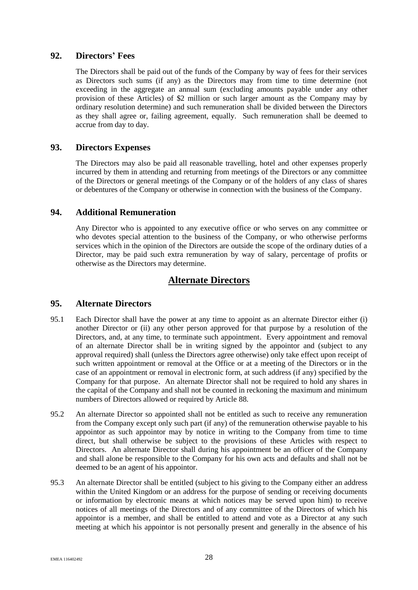# <span id="page-33-0"></span>**92. Directors' Fees**

The Directors shall be paid out of the funds of the Company by way of fees for their services as Directors such sums (if any) as the Directors may from time to time determine (not exceeding in the aggregate an annual sum (excluding amounts payable under any other provision of these Articles) of \$2 million or such larger amount as the Company may by ordinary resolution determine) and such remuneration shall be divided between the Directors as they shall agree or, failing agreement, equally. Such remuneration shall be deemed to accrue from day to day.

# <span id="page-33-1"></span>**93. Directors Expenses**

The Directors may also be paid all reasonable travelling, hotel and other expenses properly incurred by them in attending and returning from meetings of the Directors or any committee of the Directors or general meetings of the Company or of the holders of any class of shares or debentures of the Company or otherwise in connection with the business of the Company.

# <span id="page-33-2"></span>**94. Additional Remuneration**

Any Director who is appointed to any executive office or who serves on any committee or who devotes special attention to the business of the Company, or who otherwise performs services which in the opinion of the Directors are outside the scope of the ordinary duties of a Director, may be paid such extra remuneration by way of salary, percentage of profits or otherwise as the Directors may determine.

# **Alternate Directors**

# <span id="page-33-3"></span>**95. Alternate Directors**

- 95.1 Each Director shall have the power at any time to appoint as an alternate Director either (i) another Director or (ii) any other person approved for that purpose by a resolution of the Directors, and, at any time, to terminate such appointment. Every appointment and removal of an alternate Director shall be in writing signed by the appointor and (subject to any approval required) shall (unless the Directors agree otherwise) only take effect upon receipt of such written appointment or removal at the Office or at a meeting of the Directors or in the case of an appointment or removal in electronic form, at such address (if any) specified by the Company for that purpose. An alternate Director shall not be required to hold any shares in the capital of the Company and shall not be counted in reckoning the maximum and minimum numbers of Directors allowed or required by Article [88.](#page-32-2)
- 95.2 An alternate Director so appointed shall not be entitled as such to receive any remuneration from the Company except only such part (if any) of the remuneration otherwise payable to his appointor as such appointor may by notice in writing to the Company from time to time direct, but shall otherwise be subject to the provisions of these Articles with respect to Directors. An alternate Director shall during his appointment be an officer of the Company and shall alone be responsible to the Company for his own acts and defaults and shall not be deemed to be an agent of his appointor.
- 95.3 An alternate Director shall be entitled (subject to his giving to the Company either an address within the United Kingdom or an address for the purpose of sending or receiving documents or information by electronic means at which notices may be served upon him) to receive notices of all meetings of the Directors and of any committee of the Directors of which his appointor is a member, and shall be entitled to attend and vote as a Director at any such meeting at which his appointor is not personally present and generally in the absence of his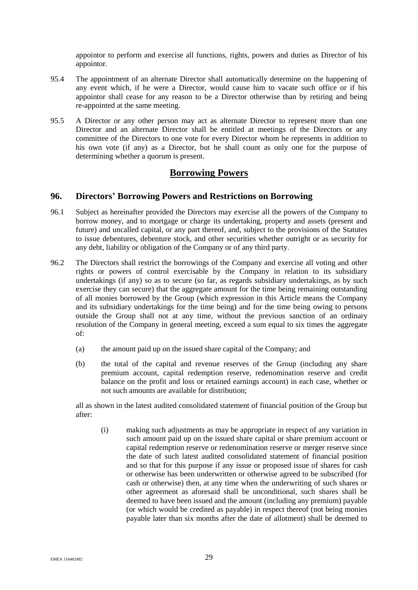appointor to perform and exercise all functions, rights, powers and duties as Director of his appointor.

- 95.4 The appointment of an alternate Director shall automatically determine on the happening of any event which, if he were a Director, would cause him to vacate such office or if his appointor shall cease for any reason to be a Director otherwise than by retiring and being re-appointed at the same meeting.
- 95.5 A Director or any other person may act as alternate Director to represent more than one Director and an alternate Director shall be entitled at meetings of the Directors or any committee of the Directors to one vote for every Director whom he represents in addition to his own vote (if any) as a Director, but he shall count as only one for the purpose of determining whether a quorum is present.

# **Borrowing Powers**

# <span id="page-34-0"></span>**96. Directors' Borrowing Powers and Restrictions on Borrowing**

- 96.1 Subject as hereinafter provided the Directors may exercise all the powers of the Company to borrow money, and to mortgage or charge its undertaking, property and assets (present and future) and uncalled capital, or any part thereof, and, subject to the provisions of the Statutes to issue debentures, debenture stock, and other securities whether outright or as security for any debt, liability or obligation of the Company or of any third party.
- <span id="page-34-1"></span>96.2 The Directors shall restrict the borrowings of the Company and exercise all voting and other rights or powers of control exercisable by the Company in relation to its subsidiary undertakings (if any) so as to secure (so far, as regards subsidiary undertakings, as by such exercise they can secure) that the aggregate amount for the time being remaining outstanding of all monies borrowed by the Group (which expression in this Article means the Company and its subsidiary undertakings for the time being) and for the time being owing to persons outside the Group shall not at any time, without the previous sanction of an ordinary resolution of the Company in general meeting, exceed a sum equal to six times the aggregate of:
	- (a) the amount paid up on the issued share capital of the Company; and
	- (b) the total of the capital and revenue reserves of the Group (including any share premium account, capital redemption reserve, redenomination reserve and credit balance on the profit and loss or retained earnings account) in each case, whether or not such amounts are available for distribution;

all as shown in the latest audited consolidated statement of financial position of the Group but after:

(i) making such adjustments as may be appropriate in respect of any variation in such amount paid up on the issued share capital or share premium account or capital redemption reserve or redenomination reserve or merger reserve since the date of such latest audited consolidated statement of financial position and so that for this purpose if any issue or proposed issue of shares for cash or otherwise has been underwritten or otherwise agreed to be subscribed (for cash or otherwise) then, at any time when the underwriting of such shares or other agreement as aforesaid shall be unconditional, such shares shall be deemed to have been issued and the amount (including any premium) payable (or which would be credited as payable) in respect thereof (not being monies payable later than six months after the date of allotment) shall be deemed to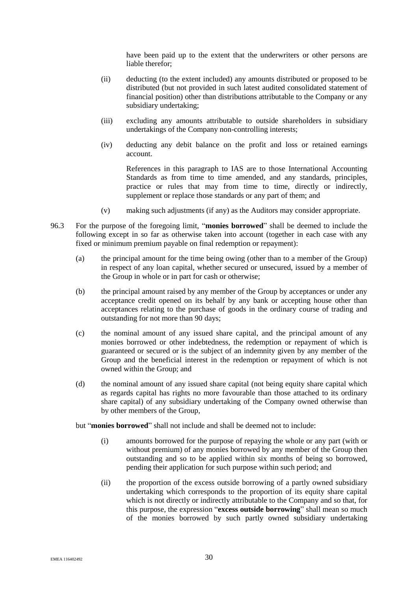have been paid up to the extent that the underwriters or other persons are liable therefor;

- (ii) deducting (to the extent included) any amounts distributed or proposed to be distributed (but not provided in such latest audited consolidated statement of financial position) other than distributions attributable to the Company or any subsidiary undertaking;
- (iii) excluding any amounts attributable to outside shareholders in subsidiary undertakings of the Company non-controlling interests;
- (iv) deducting any debit balance on the profit and loss or retained earnings account.

References in this paragraph to IAS are to those International Accounting Standards as from time to time amended, and any standards, principles, practice or rules that may from time to time, directly or indirectly, supplement or replace those standards or any part of them; and

- (v) making such adjustments (if any) as the Auditors may consider appropriate.
- <span id="page-35-0"></span>96.3 For the purpose of the foregoing limit, "**monies borrowed**" shall be deemed to include the following except in so far as otherwise taken into account (together in each case with any fixed or minimum premium payable on final redemption or repayment):
	- (a) the principal amount for the time being owing (other than to a member of the Group) in respect of any loan capital, whether secured or unsecured, issued by a member of the Group in whole or in part for cash or otherwise;
	- (b) the principal amount raised by any member of the Group by acceptances or under any acceptance credit opened on its behalf by any bank or accepting house other than acceptances relating to the purchase of goods in the ordinary course of trading and outstanding for not more than 90 days;
	- (c) the nominal amount of any issued share capital, and the principal amount of any monies borrowed or other indebtedness, the redemption or repayment of which is guaranteed or secured or is the subject of an indemnity given by any member of the Group and the beneficial interest in the redemption or repayment of which is not owned within the Group; and
	- (d) the nominal amount of any issued share capital (not being equity share capital which as regards capital has rights no more favourable than those attached to its ordinary share capital) of any subsidiary undertaking of the Company owned otherwise than by other members of the Group,

but "**monies borrowed**" shall not include and shall be deemed not to include:

- (i) amounts borrowed for the purpose of repaying the whole or any part (with or without premium) of any monies borrowed by any member of the Group then outstanding and so to be applied within six months of being so borrowed, pending their application for such purpose within such period; and
- (ii) the proportion of the excess outside borrowing of a partly owned subsidiary undertaking which corresponds to the proportion of its equity share capital which is not directly or indirectly attributable to the Company and so that, for this purpose, the expression "**excess outside borrowing**" shall mean so much of the monies borrowed by such partly owned subsidiary undertaking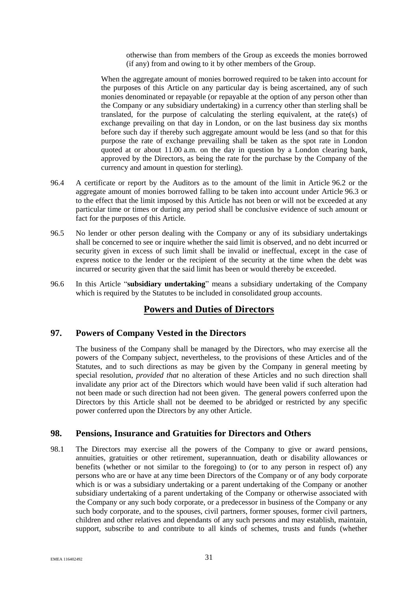otherwise than from members of the Group as exceeds the monies borrowed (if any) from and owing to it by other members of the Group.

When the aggregate amount of monies borrowed required to be taken into account for the purposes of this Article on any particular day is being ascertained, any of such monies denominated or repayable (or repayable at the option of any person other than the Company or any subsidiary undertaking) in a currency other than sterling shall be translated, for the purpose of calculating the sterling equivalent, at the rate(s) of exchange prevailing on that day in London, or on the last business day six months before such day if thereby such aggregate amount would be less (and so that for this purpose the rate of exchange prevailing shall be taken as the spot rate in London quoted at or about 11.00 a.m. on the day in question by a London clearing bank, approved by the Directors, as being the rate for the purchase by the Company of the currency and amount in question for sterling).

- 96.4 A certificate or report by the Auditors as to the amount of the limit in Article [96.2](#page-34-1) or the aggregate amount of monies borrowed falling to be taken into account under Article [96.3](#page-35-0) or to the effect that the limit imposed by this Article has not been or will not be exceeded at any particular time or times or during any period shall be conclusive evidence of such amount or fact for the purposes of this Article.
- 96.5 No lender or other person dealing with the Company or any of its subsidiary undertakings shall be concerned to see or inquire whether the said limit is observed, and no debt incurred or security given in excess of such limit shall be invalid or ineffectual, except in the case of express notice to the lender or the recipient of the security at the time when the debt was incurred or security given that the said limit has been or would thereby be exceeded.
- 96.6 In this Article "**subsidiary undertaking**" means a subsidiary undertaking of the Company which is required by the Statutes to be included in consolidated group accounts.

# **Powers and Duties of Directors**

# <span id="page-36-0"></span>**97. Powers of Company Vested in the Directors**

The business of the Company shall be managed by the Directors, who may exercise all the powers of the Company subject, nevertheless, to the provisions of these Articles and of the Statutes, and to such directions as may be given by the Company in general meeting by special resolution, *provided that* no alteration of these Articles and no such direction shall invalidate any prior act of the Directors which would have been valid if such alteration had not been made or such direction had not been given. The general powers conferred upon the Directors by this Article shall not be deemed to be abridged or restricted by any specific power conferred upon the Directors by any other Article.

# <span id="page-36-1"></span>**98. Pensions, Insurance and Gratuities for Directors and Others**

98.1 The Directors may exercise all the powers of the Company to give or award pensions, annuities, gratuities or other retirement, superannuation, death or disability allowances or benefits (whether or not similar to the foregoing) to (or to any person in respect of) any persons who are or have at any time been Directors of the Company or of any body corporate which is or was a subsidiary undertaking or a parent undertaking of the Company or another subsidiary undertaking of a parent undertaking of the Company or otherwise associated with the Company or any such body corporate, or a predecessor in business of the Company or any such body corporate, and to the spouses, civil partners, former spouses, former civil partners, children and other relatives and dependants of any such persons and may establish, maintain, support, subscribe to and contribute to all kinds of schemes, trusts and funds (whether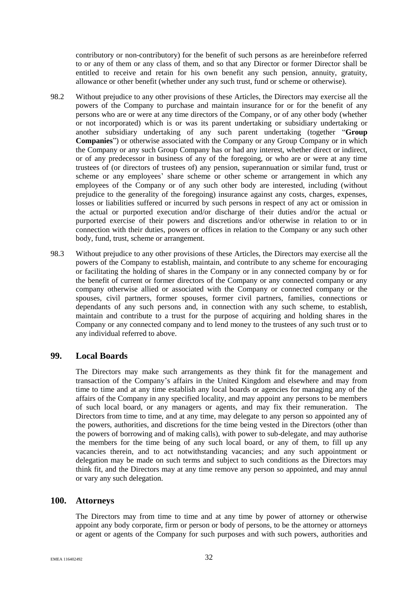contributory or non-contributory) for the benefit of such persons as are hereinbefore referred to or any of them or any class of them, and so that any Director or former Director shall be entitled to receive and retain for his own benefit any such pension, annuity, gratuity, allowance or other benefit (whether under any such trust, fund or scheme or otherwise).

- <span id="page-37-2"></span>98.2 Without prejudice to any other provisions of these Articles, the Directors may exercise all the powers of the Company to purchase and maintain insurance for or for the benefit of any persons who are or were at any time directors of the Company, or of any other body (whether or not incorporated) which is or was its parent undertaking or subsidiary undertaking or another subsidiary undertaking of any such parent undertaking (together "**Group Companies**") or otherwise associated with the Company or any Group Company or in which the Company or any such Group Company has or had any interest, whether direct or indirect, or of any predecessor in business of any of the foregoing, or who are or were at any time trustees of (or directors of trustees of) any pension, superannuation or similar fund, trust or scheme or any employees' share scheme or other scheme or arrangement in which any employees of the Company or of any such other body are interested, including (without prejudice to the generality of the foregoing) insurance against any costs, charges, expenses, losses or liabilities suffered or incurred by such persons in respect of any act or omission in the actual or purported execution and/or discharge of their duties and/or the actual or purported exercise of their powers and discretions and/or otherwise in relation to or in connection with their duties, powers or offices in relation to the Company or any such other body, fund, trust, scheme or arrangement.
- 98.3 Without prejudice to any other provisions of these Articles, the Directors may exercise all the powers of the Company to establish, maintain, and contribute to any scheme for encouraging or facilitating the holding of shares in the Company or in any connected company by or for the benefit of current or former directors of the Company or any connected company or any company otherwise allied or associated with the Company or connected company or the spouses, civil partners, former spouses, former civil partners, families, connections or dependants of any such persons and, in connection with any such scheme, to establish, maintain and contribute to a trust for the purpose of acquiring and holding shares in the Company or any connected company and to lend money to the trustees of any such trust or to any individual referred to above.

# <span id="page-37-0"></span>**99. Local Boards**

The Directors may make such arrangements as they think fit for the management and transaction of the Company's affairs in the United Kingdom and elsewhere and may from time to time and at any time establish any local boards or agencies for managing any of the affairs of the Company in any specified locality, and may appoint any persons to be members of such local board, or any managers or agents, and may fix their remuneration. The Directors from time to time, and at any time, may delegate to any person so appointed any of the powers, authorities, and discretions for the time being vested in the Directors (other than the powers of borrowing and of making calls), with power to sub-delegate, and may authorise the members for the time being of any such local board, or any of them, to fill up any vacancies therein, and to act notwithstanding vacancies; and any such appointment or delegation may be made on such terms and subject to such conditions as the Directors may think fit, and the Directors may at any time remove any person so appointed, and may annul or vary any such delegation.

# <span id="page-37-1"></span>**100. Attorneys**

The Directors may from time to time and at any time by power of attorney or otherwise appoint any body corporate, firm or person or body of persons, to be the attorney or attorneys or agent or agents of the Company for such purposes and with such powers, authorities and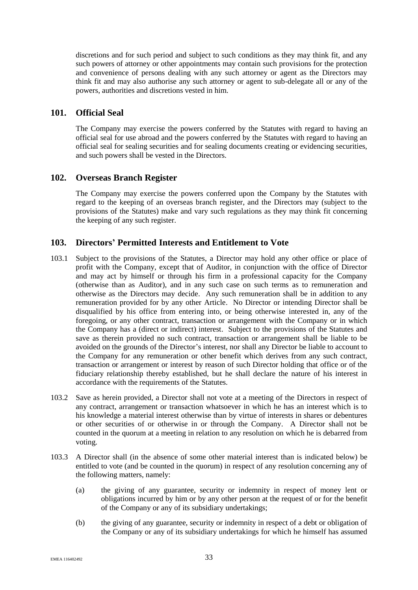discretions and for such period and subject to such conditions as they may think fit, and any such powers of attorney or other appointments may contain such provisions for the protection and convenience of persons dealing with any such attorney or agent as the Directors may think fit and may also authorise any such attorney or agent to sub-delegate all or any of the powers, authorities and discretions vested in him.

### <span id="page-38-0"></span>**101. Official Seal**

The Company may exercise the powers conferred by the Statutes with regard to having an official seal for use abroad and the powers conferred by the Statutes with regard to having an official seal for sealing securities and for sealing documents creating or evidencing securities, and such powers shall be vested in the Directors.

# <span id="page-38-1"></span>**102. Overseas Branch Register**

The Company may exercise the powers conferred upon the Company by the Statutes with regard to the keeping of an overseas branch register, and the Directors may (subject to the provisions of the Statutes) make and vary such regulations as they may think fit concerning the keeping of any such register.

# <span id="page-38-2"></span>**103. Directors' Permitted Interests and Entitlement to Vote**

- 103.1 Subject to the provisions of the Statutes, a Director may hold any other office or place of profit with the Company, except that of Auditor, in conjunction with the office of Director and may act by himself or through his firm in a professional capacity for the Company (otherwise than as Auditor), and in any such case on such terms as to remuneration and otherwise as the Directors may decide. Any such remuneration shall be in addition to any remuneration provided for by any other Article. No Director or intending Director shall be disqualified by his office from entering into, or being otherwise interested in, any of the foregoing, or any other contract, transaction or arrangement with the Company or in which the Company has a (direct or indirect) interest. Subject to the provisions of the Statutes and save as therein provided no such contract, transaction or arrangement shall be liable to be avoided on the grounds of the Director's interest, nor shall any Director be liable to account to the Company for any remuneration or other benefit which derives from any such contract, transaction or arrangement or interest by reason of such Director holding that office or of the fiduciary relationship thereby established, but he shall declare the nature of his interest in accordance with the requirements of the Statutes.
- 103.2 Save as herein provided, a Director shall not vote at a meeting of the Directors in respect of any contract, arrangement or transaction whatsoever in which he has an interest which is to his knowledge a material interest otherwise than by virtue of interests in shares or debentures or other securities of or otherwise in or through the Company. A Director shall not be counted in the quorum at a meeting in relation to any resolution on which he is debarred from voting.
- 103.3 A Director shall (in the absence of some other material interest than is indicated below) be entitled to vote (and be counted in the quorum) in respect of any resolution concerning any of the following matters, namely:
	- (a) the giving of any guarantee, security or indemnity in respect of money lent or obligations incurred by him or by any other person at the request of or for the benefit of the Company or any of its subsidiary undertakings;
	- (b) the giving of any guarantee, security or indemnity in respect of a debt or obligation of the Company or any of its subsidiary undertakings for which he himself has assumed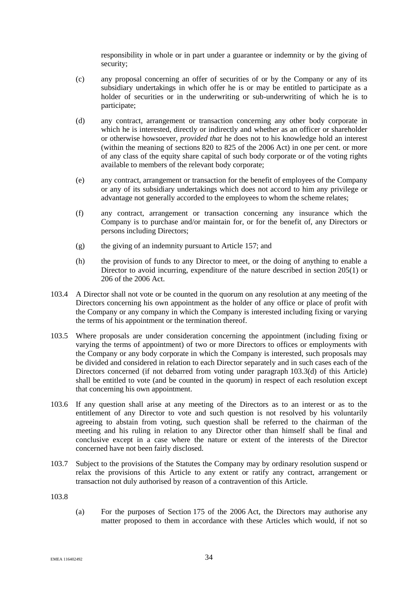responsibility in whole or in part under a guarantee or indemnity or by the giving of security;

- (c) any proposal concerning an offer of securities of or by the Company or any of its subsidiary undertakings in which offer he is or may be entitled to participate as a holder of securities or in the underwriting or sub-underwriting of which he is to participate;
- <span id="page-39-0"></span>(d) any contract, arrangement or transaction concerning any other body corporate in which he is interested, directly or indirectly and whether as an officer or shareholder or otherwise howsoever, *provided that* he does not to his knowledge hold an interest (within the meaning of sections 820 to 825 of the 2006 Act) in one per cent. or more of any class of the equity share capital of such body corporate or of the voting rights available to members of the relevant body corporate;
- (e) any contract, arrangement or transaction for the benefit of employees of the Company or any of its subsidiary undertakings which does not accord to him any privilege or advantage not generally accorded to the employees to whom the scheme relates;
- (f) any contract, arrangement or transaction concerning any insurance which the Company is to purchase and/or maintain for, or for the benefit of, any Directors or persons including Directors;
- (g) the giving of an indemnity pursuant to Article [157;](#page-55-0) and
- (h) the provision of funds to any Director to meet, or the doing of anything to enable a Director to avoid incurring, expenditure of the nature described in section 205(1) or 206 of the 2006 Act.
- 103.4 A Director shall not vote or be counted in the quorum on any resolution at any meeting of the Directors concerning his own appointment as the holder of any office or place of profit with the Company or any company in which the Company is interested including fixing or varying the terms of his appointment or the termination thereof.
- 103.5 Where proposals are under consideration concerning the appointment (including fixing or varying the terms of appointment) of two or more Directors to offices or employments with the Company or any body corporate in which the Company is interested, such proposals may be divided and considered in relation to each Director separately and in such cases each of the Directors concerned (if not debarred from voting under paragraph [103.3\(d\)](#page-39-0) of this Article) shall be entitled to vote (and be counted in the quorum) in respect of each resolution except that concerning his own appointment.
- 103.6 If any question shall arise at any meeting of the Directors as to an interest or as to the entitlement of any Director to vote and such question is not resolved by his voluntarily agreeing to abstain from voting, such question shall be referred to the chairman of the meeting and his ruling in relation to any Director other than himself shall be final and conclusive except in a case where the nature or extent of the interests of the Director concerned have not been fairly disclosed.
- 103.7 Subject to the provisions of the Statutes the Company may by ordinary resolution suspend or relax the provisions of this Article to any extent or ratify any contract, arrangement or transaction not duly authorised by reason of a contravention of this Article.

<span id="page-39-1"></span>103.8

(a) For the purposes of Section 175 of the 2006 Act, the Directors may authorise any matter proposed to them in accordance with these Articles which would, if not so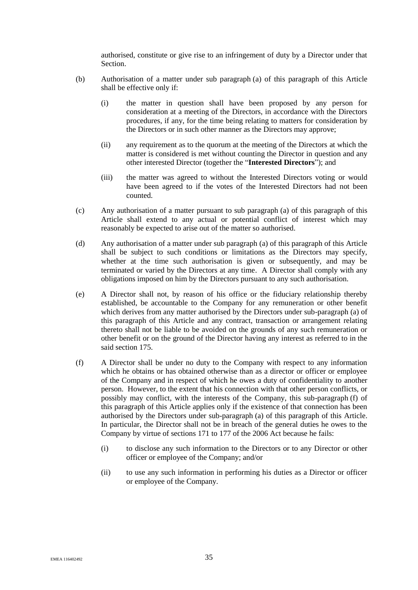authorised, constitute or give rise to an infringement of duty by a Director under that **Section** 

- (b) Authorisation of a matter under sub paragraph [\(a\)](#page-39-1) of this paragraph of this Article shall be effective only if:
	- (i) the matter in question shall have been proposed by any person for consideration at a meeting of the Directors, in accordance with the Directors procedures, if any, for the time being relating to matters for consideration by the Directors or in such other manner as the Directors may approve;
	- (ii) any requirement as to the quorum at the meeting of the Directors at which the matter is considered is met without counting the Director in question and any other interested Director (together the "**Interested Directors**"); and
	- (iii) the matter was agreed to without the Interested Directors voting or would have been agreed to if the votes of the Interested Directors had not been counted.
- (c) Any authorisation of a matter pursuant to sub paragraph [\(a\)](#page-39-1) of this paragraph of this Article shall extend to any actual or potential conflict of interest which may reasonably be expected to arise out of the matter so authorised.
- (d) Any authorisation of a matter under sub paragraph [\(a\)](#page-39-1) of this paragraph of this Article shall be subject to such conditions or limitations as the Directors may specify, whether at the time such authorisation is given or subsequently, and may be terminated or varied by the Directors at any time. A Director shall comply with any obligations imposed on him by the Directors pursuant to any such authorisation.
- (e) A Director shall not, by reason of his office or the fiduciary relationship thereby established, be accountable to the Company for any remuneration or other benefit which derives from any matter authorised by the Directors under sub-paragraph [\(a\)](#page-39-1) of this paragraph of this Article and any contract, transaction or arrangement relating thereto shall not be liable to be avoided on the grounds of any such remuneration or other benefit or on the ground of the Director having any interest as referred to in the said section 175.
- <span id="page-40-0"></span>(f) A Director shall be under no duty to the Company with respect to any information which he obtains or has obtained otherwise than as a director or officer or employee of the Company and in respect of which he owes a duty of confidentiality to another person. However, to the extent that his connection with that other person conflicts, or possibly may conflict, with the interests of the Company, this sub-paragraph [\(f\)](#page-40-0) of this paragraph of this Article applies only if the existence of that connection has been authorised by the Directors under sub-paragraph [\(a\)](#page-39-1) of this paragraph of this Article. In particular, the Director shall not be in breach of the general duties he owes to the Company by virtue of sections 171 to 177 of the 2006 Act because he fails:
	- (i) to disclose any such information to the Directors or to any Director or other officer or employee of the Company; and/or
	- (ii) to use any such information in performing his duties as a Director or officer or employee of the Company.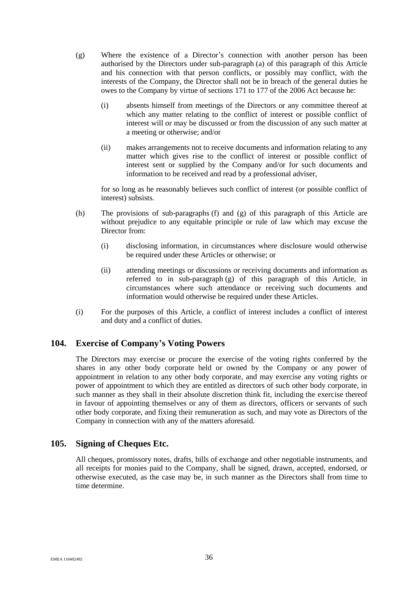- <span id="page-41-2"></span>(g) Where the existence of a Director's connection with another person has been authorised by the Directors under sub-paragraph [\(a\)](#page-39-1) of this paragraph of this Article and his connection with that person conflicts, or possibly may conflict, with the interests of the Company, the Director shall not be in breach of the general duties he owes to the Company by virtue of sections 171 to 177 of the 2006 Act because he:
	- (i) absents himself from meetings of the Directors or any committee thereof at which any matter relating to the conflict of interest or possible conflict of interest will or may be discussed or from the discussion of any such matter at a meeting or otherwise; and/or
	- (ii) makes arrangements not to receive documents and information relating to any matter which gives rise to the conflict of interest or possible conflict of interest sent or supplied by the Company and/or for such documents and information to be received and read by a professional adviser,

for so long as he reasonably believes such conflict of interest (or possible conflict of interest) subsists.

- (h) The provisions of sub-paragraphs [\(f\)](#page-40-0) and [\(g\)](#page-41-2) of this paragraph of this Article are without prejudice to any equitable principle or rule of law which may excuse the Director from:
	- (i) disclosing information, in circumstances where disclosure would otherwise be required under these Articles or otherwise; or
	- (ii) attending meetings or discussions or receiving documents and information as referred to in sub-paragraph [\(g\)](#page-41-2) of this paragraph of this Article, in circumstances where such attendance or receiving such documents and information would otherwise be required under these Articles.
- (i) For the purposes of this Article, a conflict of interest includes a conflict of interest and duty and a conflict of duties.

# <span id="page-41-0"></span>**104. Exercise of Company's Voting Powers**

The Directors may exercise or procure the exercise of the voting rights conferred by the shares in any other body corporate held or owned by the Company or any power of appointment in relation to any other body corporate, and may exercise any voting rights or power of appointment to which they are entitled as directors of such other body corporate, in such manner as they shall in their absolute discretion think fit, including the exercise thereof in favour of appointing themselves or any of them as directors, officers or servants of such other body corporate, and fixing their remuneration as such, and may vote as Directors of the Company in connection with any of the matters aforesaid.

# <span id="page-41-1"></span>**105. Signing of Cheques Etc.**

All cheques, promissory notes, drafts, bills of exchange and other negotiable instruments, and all receipts for monies paid to the Company, shall be signed, drawn, accepted, endorsed, or otherwise executed, as the case may be, in such manner as the Directors shall from time to time determine.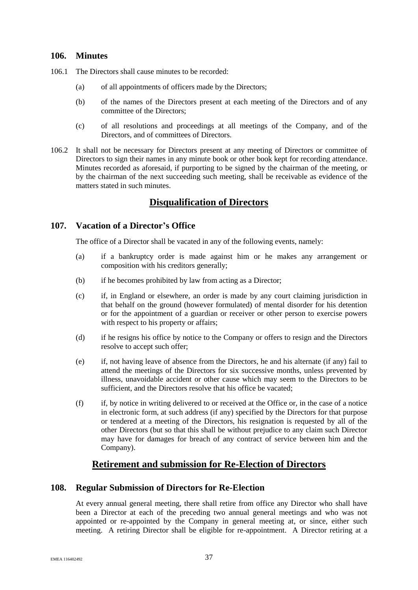# <span id="page-42-0"></span>**106. Minutes**

- 106.1 The Directors shall cause minutes to be recorded:
	- (a) of all appointments of officers made by the Directors;
	- (b) of the names of the Directors present at each meeting of the Directors and of any committee of the Directors;
	- (c) of all resolutions and proceedings at all meetings of the Company, and of the Directors, and of committees of Directors.
- 106.2 It shall not be necessary for Directors present at any meeting of Directors or committee of Directors to sign their names in any minute book or other book kept for recording attendance. Minutes recorded as aforesaid, if purporting to be signed by the chairman of the meeting, or by the chairman of the next succeeding such meeting, shall be receivable as evidence of the matters stated in such minutes.

# **Disqualification of Directors**

# <span id="page-42-1"></span>**107. Vacation of a Director's Office**

The office of a Director shall be vacated in any of the following events, namely:

- (a) if a bankruptcy order is made against him or he makes any arrangement or composition with his creditors generally;
- (b) if he becomes prohibited by law from acting as a Director;
- (c) if, in England or elsewhere, an order is made by any court claiming jurisdiction in that behalf on the ground (however formulated) of mental disorder for his detention or for the appointment of a guardian or receiver or other person to exercise powers with respect to his property or affairs;
- (d) if he resigns his office by notice to the Company or offers to resign and the Directors resolve to accept such offer;
- (e) if, not having leave of absence from the Directors, he and his alternate (if any) fail to attend the meetings of the Directors for six successive months, unless prevented by illness, unavoidable accident or other cause which may seem to the Directors to be sufficient, and the Directors resolve that his office be vacated;
- (f) if, by notice in writing delivered to or received at the Office or, in the case of a notice in electronic form, at such address (if any) specified by the Directors for that purpose or tendered at a meeting of the Directors, his resignation is requested by all of the other Directors (but so that this shall be without prejudice to any claim such Director may have for damages for breach of any contract of service between him and the Company).

# **Retirement and submission for Re-Election of Directors**

# <span id="page-42-2"></span>**108. Regular Submission of Directors for Re-Election**

At every annual general meeting, there shall retire from office any Director who shall have been a Director at each of the preceding two annual general meetings and who was not appointed or re-appointed by the Company in general meeting at, or since, either such meeting. A retiring Director shall be eligible for re-appointment. A Director retiring at a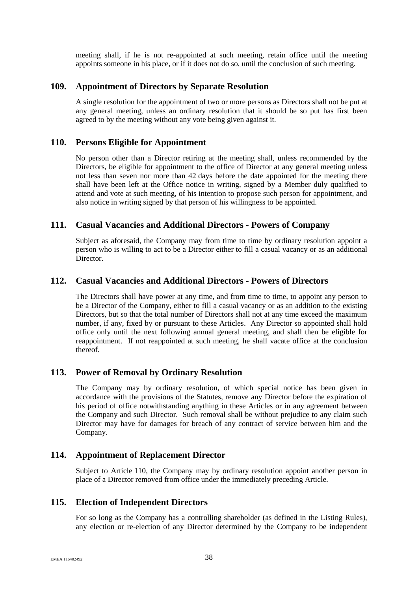meeting shall, if he is not re-appointed at such meeting, retain office until the meeting appoints someone in his place, or if it does not do so, until the conclusion of such meeting.

#### <span id="page-43-0"></span>**109. Appointment of Directors by Separate Resolution**

A single resolution for the appointment of two or more persons as Directors shall not be put at any general meeting, unless an ordinary resolution that it should be so put has first been agreed to by the meeting without any vote being given against it.

# <span id="page-43-1"></span>**110. Persons Eligible for Appointment**

No person other than a Director retiring at the meeting shall, unless recommended by the Directors, be eligible for appointment to the office of Director at any general meeting unless not less than seven nor more than 42 days before the date appointed for the meeting there shall have been left at the Office notice in writing, signed by a Member duly qualified to attend and vote at such meeting, of his intention to propose such person for appointment, and also notice in writing signed by that person of his willingness to be appointed.

#### <span id="page-43-2"></span>**111. Casual Vacancies and Additional Directors - Powers of Company**

Subject as aforesaid, the Company may from time to time by ordinary resolution appoint a person who is willing to act to be a Director either to fill a casual vacancy or as an additional Director.

# <span id="page-43-3"></span>**112. Casual Vacancies and Additional Directors - Powers of Directors**

The Directors shall have power at any time, and from time to time, to appoint any person to be a Director of the Company, either to fill a casual vacancy or as an addition to the existing Directors, but so that the total number of Directors shall not at any time exceed the maximum number, if any, fixed by or pursuant to these Articles. Any Director so appointed shall hold office only until the next following annual general meeting, and shall then be eligible for reappointment. If not reappointed at such meeting, he shall vacate office at the conclusion thereof.

# <span id="page-43-4"></span>**113. Power of Removal by Ordinary Resolution**

The Company may by ordinary resolution, of which special notice has been given in accordance with the provisions of the Statutes, remove any Director before the expiration of his period of office notwithstanding anything in these Articles or in any agreement between the Company and such Director. Such removal shall be without prejudice to any claim such Director may have for damages for breach of any contract of service between him and the Company.

#### <span id="page-43-5"></span>**114. Appointment of Replacement Director**

Subject to Article [110,](#page-43-1) the Company may by ordinary resolution appoint another person in place of a Director removed from office under the immediately preceding Article.

#### <span id="page-43-6"></span>**115. Election of Independent Directors**

For so long as the Company has a controlling shareholder (as defined in the Listing Rules), any election or re-election of any Director determined by the Company to be independent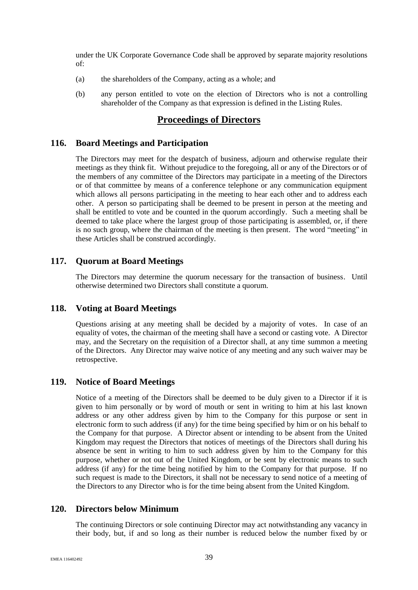under the UK Corporate Governance Code shall be approved by separate majority resolutions of:

- (a) the shareholders of the Company, acting as a whole; and
- (b) any person entitled to vote on the election of Directors who is not a controlling shareholder of the Company as that expression is defined in the Listing Rules.

# **Proceedings of Directors**

#### <span id="page-44-0"></span>**116. Board Meetings and Participation**

The Directors may meet for the despatch of business, adjourn and otherwise regulate their meetings as they think fit. Without prejudice to the foregoing, all or any of the Directors or of the members of any committee of the Directors may participate in a meeting of the Directors or of that committee by means of a conference telephone or any communication equipment which allows all persons participating in the meeting to hear each other and to address each other. A person so participating shall be deemed to be present in person at the meeting and shall be entitled to vote and be counted in the quorum accordingly. Such a meeting shall be deemed to take place where the largest group of those participating is assembled, or, if there is no such group, where the chairman of the meeting is then present. The word "meeting" in these Articles shall be construed accordingly.

#### <span id="page-44-1"></span>**117. Quorum at Board Meetings**

The Directors may determine the quorum necessary for the transaction of business. Until otherwise determined two Directors shall constitute a quorum.

#### <span id="page-44-2"></span>**118. Voting at Board Meetings**

Questions arising at any meeting shall be decided by a majority of votes. In case of an equality of votes, the chairman of the meeting shall have a second or casting vote. A Director may, and the Secretary on the requisition of a Director shall, at any time summon a meeting of the Directors. Any Director may waive notice of any meeting and any such waiver may be retrospective.

#### <span id="page-44-3"></span>**119. Notice of Board Meetings**

Notice of a meeting of the Directors shall be deemed to be duly given to a Director if it is given to him personally or by word of mouth or sent in writing to him at his last known address or any other address given by him to the Company for this purpose or sent in electronic form to such address (if any) for the time being specified by him or on his behalf to the Company for that purpose. A Director absent or intending to be absent from the United Kingdom may request the Directors that notices of meetings of the Directors shall during his absence be sent in writing to him to such address given by him to the Company for this purpose, whether or not out of the United Kingdom, or be sent by electronic means to such address (if any) for the time being notified by him to the Company for that purpose. If no such request is made to the Directors, it shall not be necessary to send notice of a meeting of the Directors to any Director who is for the time being absent from the United Kingdom.

#### <span id="page-44-4"></span>**120. Directors below Minimum**

The continuing Directors or sole continuing Director may act notwithstanding any vacancy in their body, but, if and so long as their number is reduced below the number fixed by or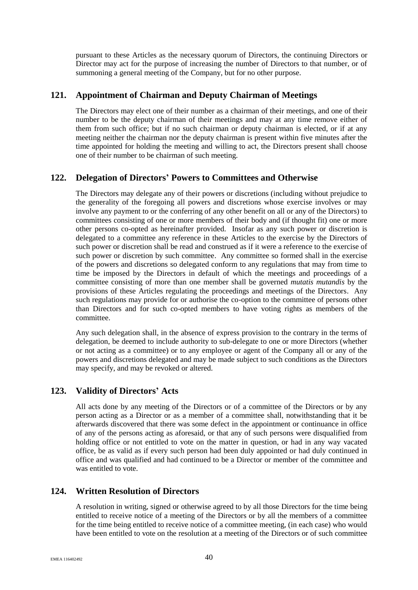pursuant to these Articles as the necessary quorum of Directors, the continuing Directors or Director may act for the purpose of increasing the number of Directors to that number, or of summoning a general meeting of the Company, but for no other purpose.

# <span id="page-45-0"></span>**121. Appointment of Chairman and Deputy Chairman of Meetings**

The Directors may elect one of their number as a chairman of their meetings, and one of their number to be the deputy chairman of their meetings and may at any time remove either of them from such office; but if no such chairman or deputy chairman is elected, or if at any meeting neither the chairman nor the deputy chairman is present within five minutes after the time appointed for holding the meeting and willing to act, the Directors present shall choose one of their number to be chairman of such meeting.

# <span id="page-45-1"></span>**122. Delegation of Directors' Powers to Committees and Otherwise**

The Directors may delegate any of their powers or discretions (including without prejudice to the generality of the foregoing all powers and discretions whose exercise involves or may involve any payment to or the conferring of any other benefit on all or any of the Directors) to committees consisting of one or more members of their body and (if thought fit) one or more other persons co-opted as hereinafter provided. Insofar as any such power or discretion is delegated to a committee any reference in these Articles to the exercise by the Directors of such power or discretion shall be read and construed as if it were a reference to the exercise of such power or discretion by such committee. Any committee so formed shall in the exercise of the powers and discretions so delegated conform to any regulations that may from time to time be imposed by the Directors in default of which the meetings and proceedings of a committee consisting of more than one member shall be governed *mutatis mutandis* by the provisions of these Articles regulating the proceedings and meetings of the Directors. Any such regulations may provide for or authorise the co-option to the committee of persons other than Directors and for such co-opted members to have voting rights as members of the committee.

Any such delegation shall, in the absence of express provision to the contrary in the terms of delegation, be deemed to include authority to sub-delegate to one or more Directors (whether or not acting as a committee) or to any employee or agent of the Company all or any of the powers and discretions delegated and may be made subject to such conditions as the Directors may specify, and may be revoked or altered.

# <span id="page-45-2"></span>**123. Validity of Directors' Acts**

All acts done by any meeting of the Directors or of a committee of the Directors or by any person acting as a Director or as a member of a committee shall, notwithstanding that it be afterwards discovered that there was some defect in the appointment or continuance in office of any of the persons acting as aforesaid, or that any of such persons were disqualified from holding office or not entitled to vote on the matter in question, or had in any way vacated office, be as valid as if every such person had been duly appointed or had duly continued in office and was qualified and had continued to be a Director or member of the committee and was entitled to vote.

# <span id="page-45-3"></span>**124. Written Resolution of Directors**

A resolution in writing, signed or otherwise agreed to by all those Directors for the time being entitled to receive notice of a meeting of the Directors or by all the members of a committee for the time being entitled to receive notice of a committee meeting, (in each case) who would have been entitled to vote on the resolution at a meeting of the Directors or of such committee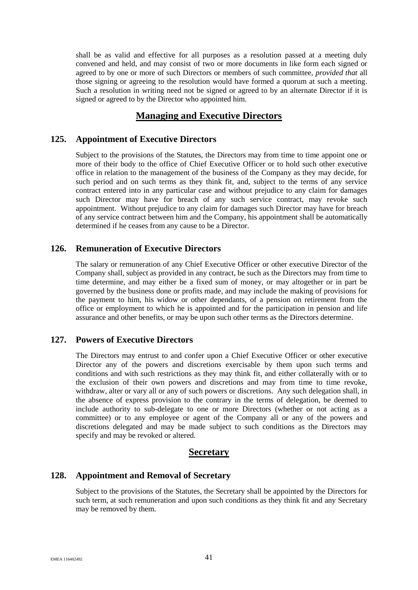shall be as valid and effective for all purposes as a resolution passed at a meeting duly convened and held, and may consist of two or more documents in like form each signed or agreed to by one or more of such Directors or members of such committee, *provided that* all those signing or agreeing to the resolution would have formed a quorum at such a meeting. Such a resolution in writing need not be signed or agreed to by an alternate Director if it is signed or agreed to by the Director who appointed him.

# **Managing and Executive Directors**

# <span id="page-46-0"></span>**125. Appointment of Executive Directors**

Subject to the provisions of the Statutes, the Directors may from time to time appoint one or more of their body to the office of Chief Executive Officer or to hold such other executive office in relation to the management of the business of the Company as they may decide, for such period and on such terms as they think fit, and, subject to the terms of any service contract entered into in any particular case and without prejudice to any claim for damages such Director may have for breach of any such service contract, may revoke such appointment. Without prejudice to any claim for damages such Director may have for breach of any service contract between him and the Company, his appointment shall be automatically determined if he ceases from any cause to be a Director.

# <span id="page-46-1"></span>**126. Remuneration of Executive Directors**

The salary or remuneration of any Chief Executive Officer or other executive Director of the Company shall, subject as provided in any contract, be such as the Directors may from time to time determine, and may either be a fixed sum of money, or may altogether or in part be governed by the business done or profits made, and may include the making of provisions for the payment to him, his widow or other dependants, of a pension on retirement from the office or employment to which he is appointed and for the participation in pension and life assurance and other benefits, or may be upon such other terms as the Directors determine.

# <span id="page-46-2"></span>**127. Powers of Executive Directors**

The Directors may entrust to and confer upon a Chief Executive Officer or other executive Director any of the powers and discretions exercisable by them upon such terms and conditions and with such restrictions as they may think fit, and either collaterally with or to the exclusion of their own powers and discretions and may from time to time revoke, withdraw, alter or vary all or any of such powers or discretions. Any such delegation shall, in the absence of express provision to the contrary in the terms of delegation, be deemed to include authority to sub-delegate to one or more Directors (whether or not acting as a committee) or to any employee or agent of the Company all or any of the powers and discretions delegated and may be made subject to such conditions as the Directors may specify and may be revoked or altered.

# **Secretary**

# <span id="page-46-3"></span>**128. Appointment and Removal of Secretary**

Subject to the provisions of the Statutes, the Secretary shall be appointed by the Directors for such term, at such remuneration and upon such conditions as they think fit and any Secretary may be removed by them.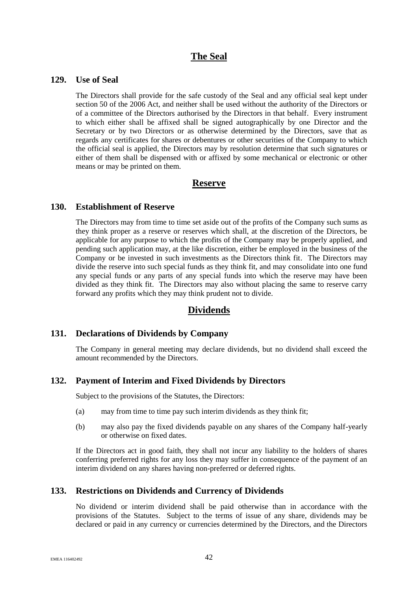# **The Seal**

#### <span id="page-47-0"></span>**129. Use of Seal**

The Directors shall provide for the safe custody of the Seal and any official seal kept under section 50 of the 2006 Act, and neither shall be used without the authority of the Directors or of a committee of the Directors authorised by the Directors in that behalf. Every instrument to which either shall be affixed shall be signed autographically by one Director and the Secretary or by two Directors or as otherwise determined by the Directors, save that as regards any certificates for shares or debentures or other securities of the Company to which the official seal is applied, the Directors may by resolution determine that such signatures or either of them shall be dispensed with or affixed by some mechanical or electronic or other means or may be printed on them.

# **Reserve**

#### <span id="page-47-1"></span>**130. Establishment of Reserve**

The Directors may from time to time set aside out of the profits of the Company such sums as they think proper as a reserve or reserves which shall, at the discretion of the Directors, be applicable for any purpose to which the profits of the Company may be properly applied, and pending such application may, at the like discretion, either be employed in the business of the Company or be invested in such investments as the Directors think fit. The Directors may divide the reserve into such special funds as they think fit, and may consolidate into one fund any special funds or any parts of any special funds into which the reserve may have been divided as they think fit. The Directors may also without placing the same to reserve carry forward any profits which they may think prudent not to divide.

# **Dividends**

# <span id="page-47-2"></span>**131. Declarations of Dividends by Company**

The Company in general meeting may declare dividends, but no dividend shall exceed the amount recommended by the Directors.

#### <span id="page-47-3"></span>**132. Payment of Interim and Fixed Dividends by Directors**

Subject to the provisions of the Statutes, the Directors:

- (a) may from time to time pay such interim dividends as they think fit;
- (b) may also pay the fixed dividends payable on any shares of the Company half-yearly or otherwise on fixed dates.

If the Directors act in good faith, they shall not incur any liability to the holders of shares conferring preferred rights for any loss they may suffer in consequence of the payment of an interim dividend on any shares having non-preferred or deferred rights.

# <span id="page-47-4"></span>**133. Restrictions on Dividends and Currency of Dividends**

No dividend or interim dividend shall be paid otherwise than in accordance with the provisions of the Statutes. Subject to the terms of issue of any share, dividends may be declared or paid in any currency or currencies determined by the Directors, and the Directors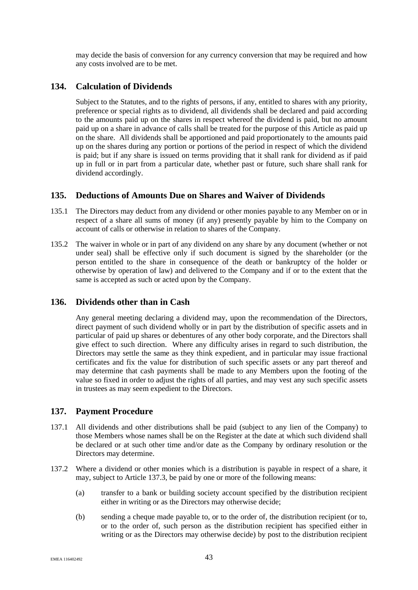may decide the basis of conversion for any currency conversion that may be required and how any costs involved are to be met.

# <span id="page-48-0"></span>**134. Calculation of Dividends**

Subject to the Statutes, and to the rights of persons, if any, entitled to shares with any priority, preference or special rights as to dividend, all dividends shall be declared and paid according to the amounts paid up on the shares in respect whereof the dividend is paid, but no amount paid up on a share in advance of calls shall be treated for the purpose of this Article as paid up on the share. All dividends shall be apportioned and paid proportionately to the amounts paid up on the shares during any portion or portions of the period in respect of which the dividend is paid; but if any share is issued on terms providing that it shall rank for dividend as if paid up in full or in part from a particular date, whether past or future, such share shall rank for dividend accordingly.

# <span id="page-48-1"></span>**135. Deductions of Amounts Due on Shares and Waiver of Dividends**

- 135.1 The Directors may deduct from any dividend or other monies payable to any Member on or in respect of a share all sums of money (if any) presently payable by him to the Company on account of calls or otherwise in relation to shares of the Company.
- 135.2 The waiver in whole or in part of any dividend on any share by any document (whether or not under seal) shall be effective only if such document is signed by the shareholder (or the person entitled to the share in consequence of the death or bankruptcy of the holder or otherwise by operation of law) and delivered to the Company and if or to the extent that the same is accepted as such or acted upon by the Company.

# <span id="page-48-2"></span>**136. Dividends other than in Cash**

Any general meeting declaring a dividend may, upon the recommendation of the Directors, direct payment of such dividend wholly or in part by the distribution of specific assets and in particular of paid up shares or debentures of any other body corporate, and the Directors shall give effect to such direction. Where any difficulty arises in regard to such distribution, the Directors may settle the same as they think expedient, and in particular may issue fractional certificates and fix the value for distribution of such specific assets or any part thereof and may determine that cash payments shall be made to any Members upon the footing of the value so fixed in order to adjust the rights of all parties, and may vest any such specific assets in trustees as may seem expedient to the Directors.

# <span id="page-48-3"></span>**137. Payment Procedure**

- 137.1 All dividends and other distributions shall be paid (subject to any lien of the Company) to those Members whose names shall be on the Register at the date at which such dividend shall be declared or at such other time and/or date as the Company by ordinary resolution or the Directors may determine.
- <span id="page-48-4"></span>137.2 Where a dividend or other monies which is a distribution is payable in respect of a share, it may, subject to Article [137.3,](#page-49-0) be paid by one or more of the following means:
	- (a) transfer to a bank or building society account specified by the distribution recipient either in writing or as the Directors may otherwise decide;
	- (b) sending a cheque made payable to, or to the order of, the distribution recipient (or to, or to the order of, such person as the distribution recipient has specified either in writing or as the Directors may otherwise decide) by post to the distribution recipient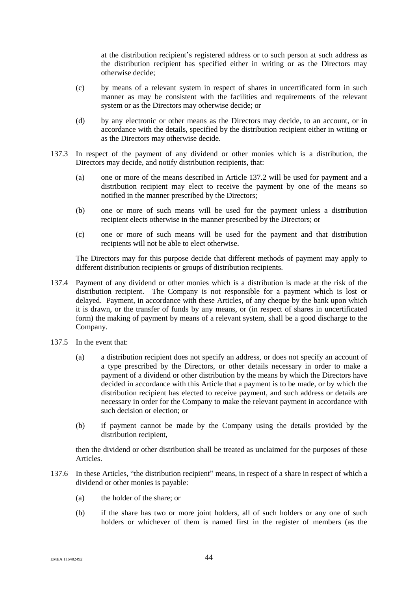at the distribution recipient's registered address or to such person at such address as the distribution recipient has specified either in writing or as the Directors may otherwise decide;

- (c) by means of a relevant system in respect of shares in uncertificated form in such manner as may be consistent with the facilities and requirements of the relevant system or as the Directors may otherwise decide; or
- (d) by any electronic or other means as the Directors may decide, to an account, or in accordance with the details, specified by the distribution recipient either in writing or as the Directors may otherwise decide.
- <span id="page-49-0"></span>137.3 In respect of the payment of any dividend or other monies which is a distribution, the Directors may decide, and notify distribution recipients, that:
	- (a) one or more of the means described in Article [137.2](#page-48-4) will be used for payment and a distribution recipient may elect to receive the payment by one of the means so notified in the manner prescribed by the Directors;
	- (b) one or more of such means will be used for the payment unless a distribution recipient elects otherwise in the manner prescribed by the Directors; or
	- (c) one or more of such means will be used for the payment and that distribution recipients will not be able to elect otherwise.

The Directors may for this purpose decide that different methods of payment may apply to different distribution recipients or groups of distribution recipients.

- 137.4 Payment of any dividend or other monies which is a distribution is made at the risk of the distribution recipient. The Company is not responsible for a payment which is lost or delayed. Payment, in accordance with these Articles, of any cheque by the bank upon which it is drawn, or the transfer of funds by any means, or (in respect of shares in uncertificated form) the making of payment by means of a relevant system, shall be a good discharge to the Company.
- 137.5 In the event that:
	- (a) a distribution recipient does not specify an address, or does not specify an account of a type prescribed by the Directors, or other details necessary in order to make a payment of a dividend or other distribution by the means by which the Directors have decided in accordance with this Article that a payment is to be made, or by which the distribution recipient has elected to receive payment, and such address or details are necessary in order for the Company to make the relevant payment in accordance with such decision or election; or
	- (b) if payment cannot be made by the Company using the details provided by the distribution recipient.

then the dividend or other distribution shall be treated as unclaimed for the purposes of these Articles.

- 137.6 In these Articles, "the distribution recipient" means, in respect of a share in respect of which a dividend or other monies is payable:
	- (a) the holder of the share; or
	- (b) if the share has two or more joint holders, all of such holders or any one of such holders or whichever of them is named first in the register of members (as the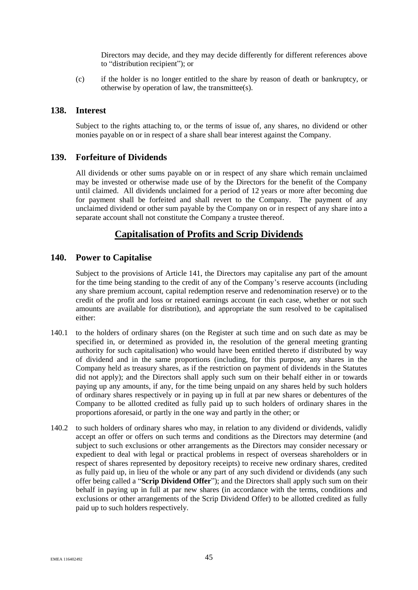Directors may decide, and they may decide differently for different references above to "distribution recipient"); or

(c) if the holder is no longer entitled to the share by reason of death or bankruptcy, or otherwise by operation of law, the transmittee(s).

#### <span id="page-50-0"></span>**138. Interest**

Subject to the rights attaching to, or the terms of issue of, any shares, no dividend or other monies payable on or in respect of a share shall bear interest against the Company.

# <span id="page-50-1"></span>**139. Forfeiture of Dividends**

All dividends or other sums payable on or in respect of any share which remain unclaimed may be invested or otherwise made use of by the Directors for the benefit of the Company until claimed. All dividends unclaimed for a period of 12 years or more after becoming due for payment shall be forfeited and shall revert to the Company. The payment of any unclaimed dividend or other sum payable by the Company on or in respect of any share into a separate account shall not constitute the Company a trustee thereof.

# **Capitalisation of Profits and Scrip Dividends**

#### <span id="page-50-2"></span>**140. Power to Capitalise**

Subject to the provisions of Article [141,](#page-51-0) the Directors may capitalise any part of the amount for the time being standing to the credit of any of the Company's reserve accounts (including any share premium account, capital redemption reserve and redenomination reserve) or to the credit of the profit and loss or retained earnings account (in each case, whether or not such amounts are available for distribution), and appropriate the sum resolved to be capitalised either:

- <span id="page-50-3"></span>140.1 to the holders of ordinary shares (on the Register at such time and on such date as may be specified in, or determined as provided in, the resolution of the general meeting granting authority for such capitalisation) who would have been entitled thereto if distributed by way of dividend and in the same proportions (including, for this purpose, any shares in the Company held as treasury shares, as if the restriction on payment of dividends in the Statutes did not apply); and the Directors shall apply such sum on their behalf either in or towards paying up any amounts, if any, for the time being unpaid on any shares held by such holders of ordinary shares respectively or in paying up in full at par new shares or debentures of the Company to be allotted credited as fully paid up to such holders of ordinary shares in the proportions aforesaid, or partly in the one way and partly in the other; or
- 140.2 to such holders of ordinary shares who may, in relation to any dividend or dividends, validly accept an offer or offers on such terms and conditions as the Directors may determine (and subject to such exclusions or other arrangements as the Directors may consider necessary or expedient to deal with legal or practical problems in respect of overseas shareholders or in respect of shares represented by depository receipts) to receive new ordinary shares, credited as fully paid up, in lieu of the whole or any part of any such dividend or dividends (any such offer being called a "**Scrip Dividend Offer**"); and the Directors shall apply such sum on their behalf in paying up in full at par new shares (in accordance with the terms, conditions and exclusions or other arrangements of the Scrip Dividend Offer) to be allotted credited as fully paid up to such holders respectively.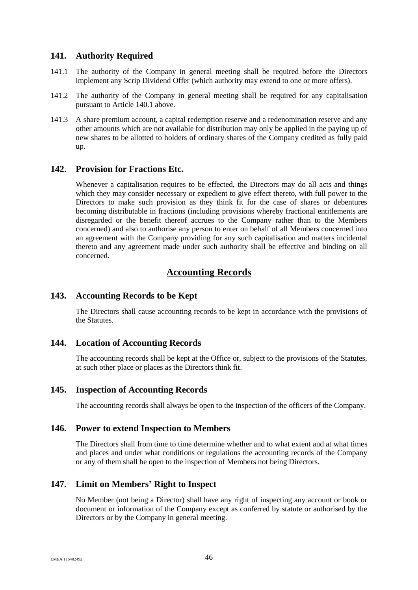# <span id="page-51-0"></span>**141. Authority Required**

- 141.1 The authority of the Company in general meeting shall be required before the Directors implement any Scrip Dividend Offer (which authority may extend to one or more offers).
- 141.2 The authority of the Company in general meeting shall be required for any capitalisation pursuant to Article [140.1](#page-50-3) above.
- 141.3 A share premium account, a capital redemption reserve and a redenomination reserve and any other amounts which are not available for distribution may only be applied in the paying up of new shares to be allotted to holders of ordinary shares of the Company credited as fully paid up.

# <span id="page-51-1"></span>**142. Provision for Fractions Etc.**

Whenever a capitalisation requires to be effected, the Directors may do all acts and things which they may consider necessary or expedient to give effect thereto, with full power to the Directors to make such provision as they think fit for the case of shares or debentures becoming distributable in fractions (including provisions whereby fractional entitlements are disregarded or the benefit thereof accrues to the Company rather than to the Members concerned) and also to authorise any person to enter on behalf of all Members concerned into an agreement with the Company providing for any such capitalisation and matters incidental thereto and any agreement made under such authority shall be effective and binding on all concerned.

# **Accounting Records**

# <span id="page-51-2"></span>**143. Accounting Records to be Kept**

The Directors shall cause accounting records to be kept in accordance with the provisions of the Statutes.

# <span id="page-51-3"></span>**144. Location of Accounting Records**

The accounting records shall be kept at the Office or, subject to the provisions of the Statutes, at such other place or places as the Directors think fit.

# <span id="page-51-4"></span>**145. Inspection of Accounting Records**

The accounting records shall always be open to the inspection of the officers of the Company.

#### <span id="page-51-5"></span>**146. Power to extend Inspection to Members**

The Directors shall from time to time determine whether and to what extent and at what times and places and under what conditions or regulations the accounting records of the Company or any of them shall be open to the inspection of Members not being Directors.

# <span id="page-51-6"></span>**147. Limit on Members' Right to Inspect**

No Member (not being a Director) shall have any right of inspecting any account or book or document or information of the Company except as conferred by statute or authorised by the Directors or by the Company in general meeting.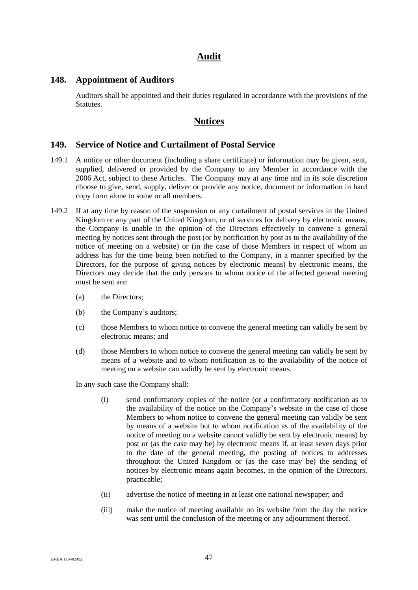# **Audit**

#### <span id="page-52-0"></span>**148. Appointment of Auditors**

Auditors shall be appointed and their duties regulated in accordance with the provisions of the Statutes.

# **Notices**

### <span id="page-52-1"></span>**149. Service of Notice and Curtailment of Postal Service**

- 149.1 A notice or other document (including a share certificate) or information may be given, sent, supplied, delivered or provided by the Company to any Member in accordance with the 2006 Act, subject to these Articles. The Company may at any time and in its sole discretion choose to give, send, supply, deliver or provide any notice, document or information in hard copy form alone to some or all members.
- 149.2 If at any time by reason of the suspension or any curtailment of postal services in the United Kingdom or any part of the United Kingdom, or of services for delivery by electronic means, the Company is unable in the opinion of the Directors effectively to convene a general meeting by notices sent through the post (or by notification by post as to the availability of the notice of meeting on a website) or (in the case of those Members in respect of whom an address has for the time being been notified to the Company, in a manner specified by the Directors, for the purpose of giving notices by electronic means) by electronic means, the Directors may decide that the only persons to whom notice of the affected general meeting must be sent are:
	- (a) the Directors;
	- (b) the Company's auditors;
	- (c) those Members to whom notice to convene the general meeting can validly be sent by electronic means; and
	- (d) those Members to whom notice to convene the general meeting can validly be sent by means of a website and to whom notification as to the availability of the notice of meeting on a website can validly be sent by electronic means.

In any such case the Company shall:

- (i) send confirmatory copies of the notice (or a confirmatory notification as to the availability of the notice on the Company's website in the case of those Members to whom notice to convene the general meeting can validly be sent by means of a website but to whom notification as of the availability of the notice of meeting on a website cannot validly be sent by electronic means) by post or (as the case may be) by electronic means if, at least seven days prior to the date of the general meeting, the posting of notices to addresses throughout the United Kingdom or (as the case may be) the sending of notices by electronic means again becomes, in the opinion of the Directors, practicable;
- (ii) advertise the notice of meeting in at least one national newspaper; and
- (iii) make the notice of meeting available on its website from the day the notice was sent until the conclusion of the meeting or any adjournment thereof.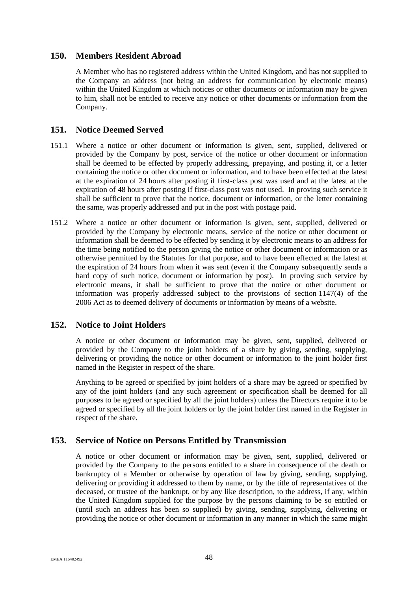# <span id="page-53-0"></span>**150. Members Resident Abroad**

A Member who has no registered address within the United Kingdom, and has not supplied to the Company an address (not being an address for communication by electronic means) within the United Kingdom at which notices or other documents or information may be given to him, shall not be entitled to receive any notice or other documents or information from the Company.

# <span id="page-53-1"></span>**151. Notice Deemed Served**

- 151.1 Where a notice or other document or information is given, sent, supplied, delivered or provided by the Company by post, service of the notice or other document or information shall be deemed to be effected by properly addressing, prepaying, and posting it, or a letter containing the notice or other document or information, and to have been effected at the latest at the expiration of 24 hours after posting if first-class post was used and at the latest at the expiration of 48 hours after posting if first-class post was not used. In proving such service it shall be sufficient to prove that the notice, document or information, or the letter containing the same, was properly addressed and put in the post with postage paid.
- 151.2 Where a notice or other document or information is given, sent, supplied, delivered or provided by the Company by electronic means, service of the notice or other document or information shall be deemed to be effected by sending it by electronic means to an address for the time being notified to the person giving the notice or other document or information or as otherwise permitted by the Statutes for that purpose, and to have been effected at the latest at the expiration of 24 hours from when it was sent (even if the Company subsequently sends a hard copy of such notice, document or information by post). In proving such service by electronic means, it shall be sufficient to prove that the notice or other document or information was properly addressed subject to the provisions of section 1147(4) of the 2006 Act as to deemed delivery of documents or information by means of a website.

# <span id="page-53-2"></span>**152. Notice to Joint Holders**

A notice or other document or information may be given, sent, supplied, delivered or provided by the Company to the joint holders of a share by giving, sending, supplying, delivering or providing the notice or other document or information to the joint holder first named in the Register in respect of the share.

Anything to be agreed or specified by joint holders of a share may be agreed or specified by any of the joint holders (and any such agreement or specification shall be deemed for all purposes to be agreed or specified by all the joint holders) unless the Directors require it to be agreed or specified by all the joint holders or by the joint holder first named in the Register in respect of the share.

# <span id="page-53-3"></span>**153. Service of Notice on Persons Entitled by Transmission**

A notice or other document or information may be given, sent, supplied, delivered or provided by the Company to the persons entitled to a share in consequence of the death or bankruptcy of a Member or otherwise by operation of law by giving, sending, supplying, delivering or providing it addressed to them by name, or by the title of representatives of the deceased, or trustee of the bankrupt, or by any like description, to the address, if any, within the United Kingdom supplied for the purpose by the persons claiming to be so entitled or (until such an address has been so supplied) by giving, sending, supplying, delivering or providing the notice or other document or information in any manner in which the same might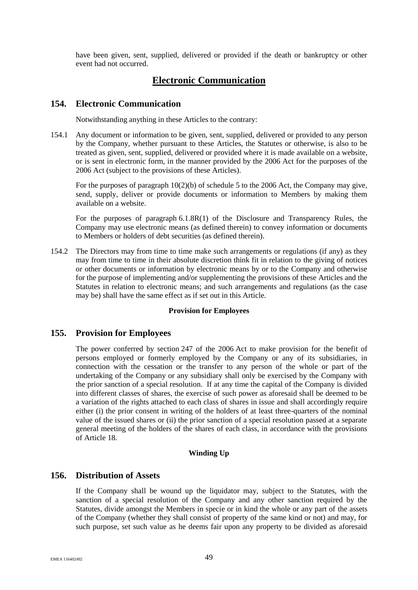have been given, sent, supplied, delivered or provided if the death or bankruptcy or other event had not occurred.

# **Electronic Communication**

# <span id="page-54-0"></span>**154. Electronic Communication**

Notwithstanding anything in these Articles to the contrary:

154.1 Any document or information to be given, sent, supplied, delivered or provided to any person by the Company, whether pursuant to these Articles, the Statutes or otherwise, is also to be treated as given, sent, supplied, delivered or provided where it is made available on a website, or is sent in electronic form, in the manner provided by the 2006 Act for the purposes of the 2006 Act (subject to the provisions of these Articles).

For the purposes of paragraph 10(2)(b) of schedule 5 to the 2006 Act, the Company may give, send, supply, deliver or provide documents or information to Members by making them available on a website.

For the purposes of paragraph 6.1.8R(1) of the Disclosure and Transparency Rules, the Company may use electronic means (as defined therein) to convey information or documents to Members or holders of debt securities (as defined therein).

154.2 The Directors may from time to time make such arrangements or regulations (if any) as they may from time to time in their absolute discretion think fit in relation to the giving of notices or other documents or information by electronic means by or to the Company and otherwise for the purpose of implementing and/or supplementing the provisions of these Articles and the Statutes in relation to electronic means; and such arrangements and regulations (as the case may be) shall have the same effect as if set out in this Article.

#### **Provision for Employees**

# <span id="page-54-1"></span>**155. Provision for Employees**

The power conferred by section 247 of the 2006 Act to make provision for the benefit of persons employed or formerly employed by the Company or any of its subsidiaries, in connection with the cessation or the transfer to any person of the whole or part of the undertaking of the Company or any subsidiary shall only be exercised by the Company with the prior sanction of a special resolution. If at any time the capital of the Company is divided into different classes of shares, the exercise of such power as aforesaid shall be deemed to be a variation of the rights attached to each class of shares in issue and shall accordingly require either (i) the prior consent in writing of the holders of at least three-quarters of the nominal value of the issued shares or (ii) the prior sanction of a special resolution passed at a separate general meeting of the holders of the shares of each class, in accordance with the provisions of Article [18.](#page-12-1)

#### **Winding Up**

# <span id="page-54-2"></span>**156. Distribution of Assets**

If the Company shall be wound up the liquidator may, subject to the Statutes, with the sanction of a special resolution of the Company and any other sanction required by the Statutes, divide amongst the Members in specie or in kind the whole or any part of the assets of the Company (whether they shall consist of property of the same kind or not) and may, for such purpose, set such value as he deems fair upon any property to be divided as aforesaid